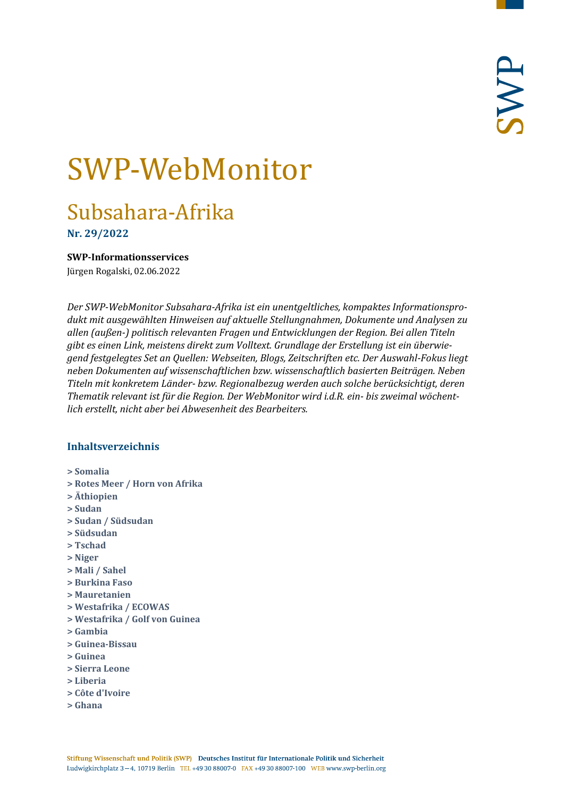# SWP-WebMonitor

# Subsahara-Afrika

**Nr. 29/2022**

<span id="page-0-0"></span>**SWP-Informationsservices**

Jürgen Rogalski, 02.06.2022

*Der SWP-WebMonitor Subsahara-Afrika ist ein unentgeltliches, kompaktes Informationsprodukt mit ausgewählten Hinweisen auf aktuelle Stellungnahmen, Dokumente und Analysen zu allen (außen-) politisch relevanten Fragen und Entwicklungen der Region. Bei allen Titeln gibt es einen Link, meistens direkt zum Volltext. Grundlage der Erstellung ist ein überwiegend festgelegtes Set an Quellen: Webseiten, Blogs, Zeitschriften etc. Der Auswahl-Fokus liegt neben Dokumenten auf wissenschaftlichen bzw. wissenschaftlich basierten Beiträgen. Neben Titeln mit konkretem Länder- bzw. Regionalbezug werden auch solche berücksichtigt, deren Thematik relevant ist für die Region. Der WebMonitor wird i.d.R. ein- bis zweimal wöchentlich erstellt, nicht aber bei Abwesenheit des Bearbeiters.*

#### **Inhaltsverzeichnis**

- **[> Somalia](#page-1-0)**
- **[> Rotes Meer / Horn von Afrika](#page-3-0)**
- **[> Äthiopien](#page-4-0)**
- **[> Sudan](#page-5-0)**
- **[> Sudan / Südsudan](#page-7-0)**
- **[> Südsudan](#page-7-1)**
- **[> Tschad](#page-7-2)**
- **[> Niger](#page-8-0)**
- **[> Mali / Sahel](#page-8-1)**
- **[> Burkina Faso](#page-11-0)**
- **[> Mauretanien](#page-12-0)**
- **[> Westafrika / ECOWAS](#page-12-1)**
- **[> Westafrika / Golf von Guinea](#page-12-2)**
- **[> Gambia](#page-12-3)**
- **[> Guinea-Bissau](#page-13-0)**
- **[> Guinea](#page-13-1)**
- **[> Sierra Leone](#page-13-2)**
- **[> Liberia](#page-14-0)**
- **[> Côte d'Ivoire](#page-14-1)**
- **[> Ghana](#page-14-2)**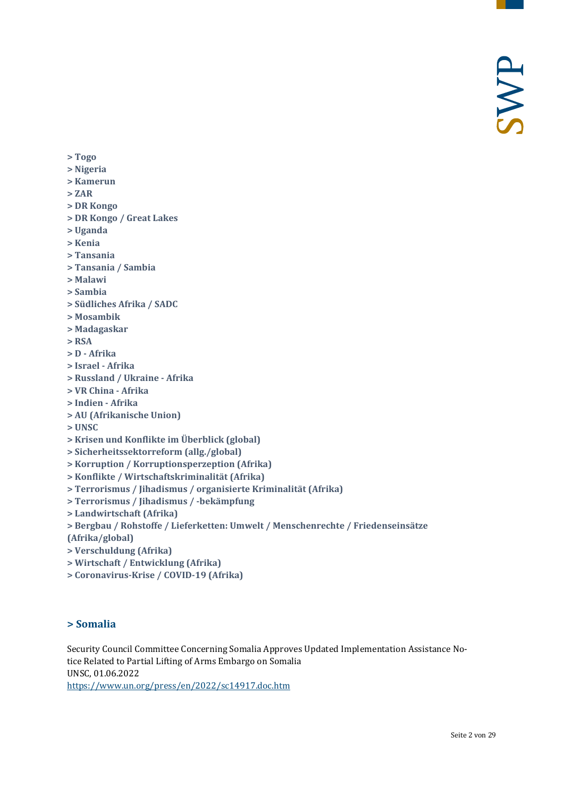**[> Togo](#page-15-0)**

#### **[> Nigeria](#page-15-1)**

- **[> Kamerun](#page-16-0)**
- **[> ZAR](#page-16-1)**
- **[> DR Kongo](#page-17-0)**
- **[> DR Kongo / Great Lakes](#page-18-0)**
- **[> Uganda](#page-18-1)**
- **[> Kenia](#page-18-2)**
- **[> Tansania](#page-19-0)**
- **[> Tansania / Sambia](#page-19-1)**
- **[> Malawi](#page-20-0)**
- **[> Sambia](#page-20-1)**
- **[> Südliches Afrika / SADC](#page-20-2)**
- **[> Mosambik](#page-20-3)**
- **[> Madagaskar](#page-21-0)**
- **[> RSA](#page-21-1)**
- **> D - [Afrika](#page-21-2)**
- **[> Israel -](#page-22-0) Afrika**
- **[> Russland / Ukraine -](#page-22-1) Afrika**
- **[> VR China -](#page-23-0) Afrika**
- **[> Indien -](#page-23-1) Afrika**
- **[> AU \(Afrikanische Union\)](#page-23-2)**
- **[> UNSC](#page-24-0)**
- **[> Krisen und Konflikte im Überblick \(global\)](#page-24-1)**
- **[> Sicherheitssektorreform \(allg./global\)](#page-24-2)**
- **[> Korruption / Korruptionsperzeption \(Afrika\)](#page-24-3)**
- **[> Konflikte / Wirtschaftskriminalität \(Afrika\)](#page-25-0)**
- **[> Terrorismus / Jihadismus / organisierte Kriminalität \(Afrika\)](#page-25-1)**
- **[> Terrorismus / Jihadismus / -bekämpfung](#page-25-2)**
- **[> Landwirtschaft \(Afrika\)](#page-26-0)**
- **> [Bergbau / Rohstoffe / Lieferketten: Umwelt / Menschenrechte / Friedenseinsätze](#page-26-1)**
- **[\(Afrika/global\)](#page-26-1)**
- **[> Verschuldung \(Afrika\)](#page-27-0)**
- **[> Wirtschaft / Entwicklung \(Afrika\)](#page-27-1)**
- <span id="page-1-0"></span>**[> Coronavirus-Krise / COVID-19 \(Afrika\)](#page-28-0)**

#### **> Somalia**

Security Council Committee Concerning Somalia Approves Updated Implementation Assistance Notice Related to Partial Lifting of Arms Embargo on Somalia UNSC, 01.06.2022 <https://www.un.org/press/en/2022/sc14917.doc.htm>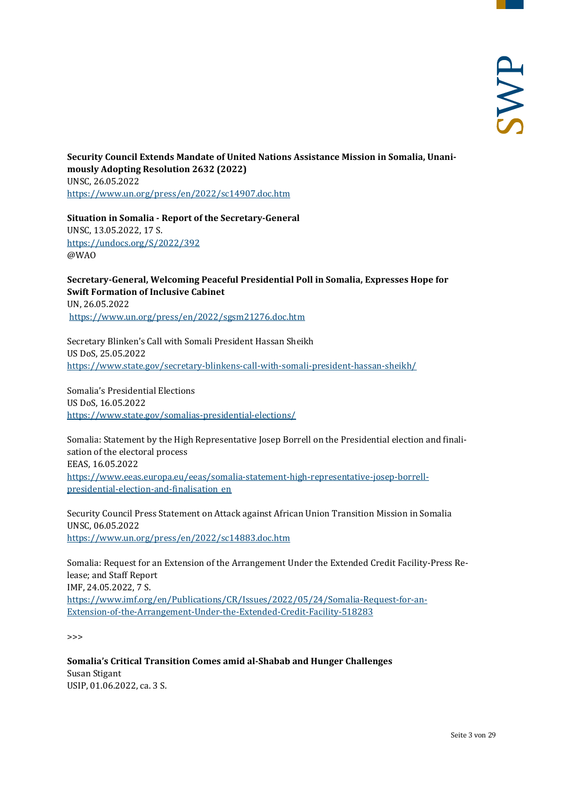**Security Council Extends Mandate of United Nations Assistance Mission in Somalia, Unanimously Adopting Resolution 2632 (2022)** UNSC, 26.05.2022 <https://www.un.org/press/en/2022/sc14907.doc.htm>

**Situation in Somalia - Report of the Secretary-General** UNSC, 13.05.2022, 17 S. <https://undocs.org/S/2022/392> @WAO

**Secretary-General, Welcoming Peaceful Presidential Poll in Somalia, Expresses Hope for Swift Formation of Inclusive Cabinet** UN, 26.05.2022 <https://www.un.org/press/en/2022/sgsm21276.doc.htm>

Secretary Blinken's Call with Somali President Hassan Sheikh US DoS, 25.05.2022 <https://www.state.gov/secretary-blinkens-call-with-somali-president-hassan-sheikh/>

Somalia's Presidential Elections US DoS, 16.05.2022 <https://www.state.gov/somalias-presidential-elections/>

Somalia: Statement by the High Representative Josep Borrell on the Presidential election and finalisation of the electoral process EEAS, 16.05.2022 [https://www.eeas.europa.eu/eeas/somalia-statement-high-representative-josep-borrell](https://www.eeas.europa.eu/eeas/somalia-statement-high-representative-josep-borrell-presidential-election-and-finalisation_en)[presidential-election-and-finalisation\\_en](https://www.eeas.europa.eu/eeas/somalia-statement-high-representative-josep-borrell-presidential-election-and-finalisation_en)

Security Council Press Statement on Attack against African Union Transition Mission in Somalia UNSC, 06.05.2022 <https://www.un.org/press/en/2022/sc14883.doc.htm>

Somalia: Request for an Extension of the Arrangement Under the Extended Credit Facility-Press Release; and Staff Report IMF, 24.05.2022, 7 S. [https://www.imf.org/en/Publications/CR/Issues/2022/05/24/Somalia-Request-for-an-](https://www.imf.org/en/Publications/CR/Issues/2022/05/24/Somalia-Request-for-an-Extension-of-the-Arrangement-Under-the-Extended-Credit-Facility-518283)[Extension-of-the-Arrangement-Under-the-Extended-Credit-Facility-518283](https://www.imf.org/en/Publications/CR/Issues/2022/05/24/Somalia-Request-for-an-Extension-of-the-Arrangement-Under-the-Extended-Credit-Facility-518283)

>>>

**Somalia's Critical Transition Comes amid al-Shabab and Hunger Challenges** Susan Stigant USIP, 01.06.2022, ca. 3 S.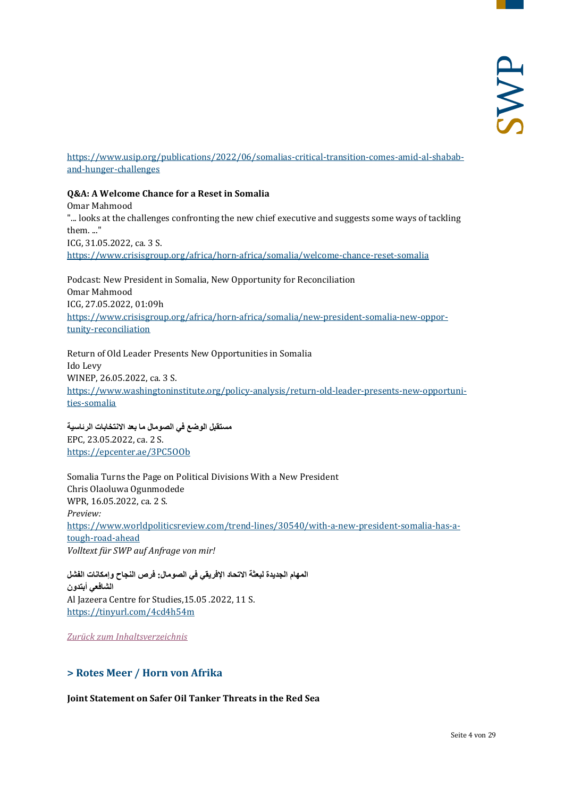[https://www.usip.org/publications/2022/06/somalias-critical-transition-comes-amid-al-shabab](https://www.usip.org/publications/2022/06/somalias-critical-transition-comes-amid-al-shabab-and-hunger-challenges)[and-hunger-challenges](https://www.usip.org/publications/2022/06/somalias-critical-transition-comes-amid-al-shabab-and-hunger-challenges)

#### **Q&A: A Welcome Chance for a Reset in Somalia**

Omar Mahmood "... looks at the challenges confronting the new chief executive and suggests some ways of tackling them. ..." ICG, 31.05.2022, ca. 3 S. <https://www.crisisgroup.org/africa/horn-africa/somalia/welcome-chance-reset-somalia>

Podcast: New President in Somalia, New Opportunity for Reconciliation Omar Mahmood ICG, 27.05.2022, 01:09h [https://www.crisisgroup.org/africa/horn-africa/somalia/new-president-somalia-new-oppor](https://www.crisisgroup.org/africa/horn-africa/somalia/new-president-somalia-new-opportunity-reconciliation)[tunity-reconciliation](https://www.crisisgroup.org/africa/horn-africa/somalia/new-president-somalia-new-opportunity-reconciliation)

Return of Old Leader Presents New Opportunities in Somalia Ido Levy WINEP, 26.05.2022, ca. 3 S. [https://www.washingtoninstitute.org/policy-analysis/return-old-leader-presents-new-opportuni](https://www.washingtoninstitute.org/policy-analysis/return-old-leader-presents-new-opportunities-somalia)[ties-somalia](https://www.washingtoninstitute.org/policy-analysis/return-old-leader-presents-new-opportunities-somalia)

**مستقبل الوضع في الصومال ما بعد الانتخابات الرئاسیة** EPC, 23.05.2022, ca. 2 S. <https://epcenter.ae/3PC5OOb>

Somalia Turns the Page on Political Divisions With a New President Chris Olaoluwa Ogunmodede WPR, 16.05.2022, ca. 2 S. *Preview:* [https://www.worldpoliticsreview.com/trend-lines/30540/with-a-new-president-somalia-has-a](https://www.worldpoliticsreview.com/trend-lines/30540/with-a-new-president-somalia-has-a-tough-road-ahead)[tough-road-ahead](https://www.worldpoliticsreview.com/trend-lines/30540/with-a-new-president-somalia-has-a-tough-road-ahead) *Volltext für SWP auf Anfrage von mir!*

**المھام الجدیدة لبعثة الاتحاد الإفریقي في الصومال: فرص النجاح وإمكانات الفشل الشافعي أبتدون** Al Jazeera Centre for Studies,15.05 .2022, 11 S. <https://tinyurl.com/4cd4h54m>

<span id="page-3-0"></span>*[Zurück zum Inhaltsverzeichnis](#page-0-0)*

#### **> Rotes Meer / Horn von Afrika**

**Joint Statement on Safer Oil Tanker Threats in the Red Sea**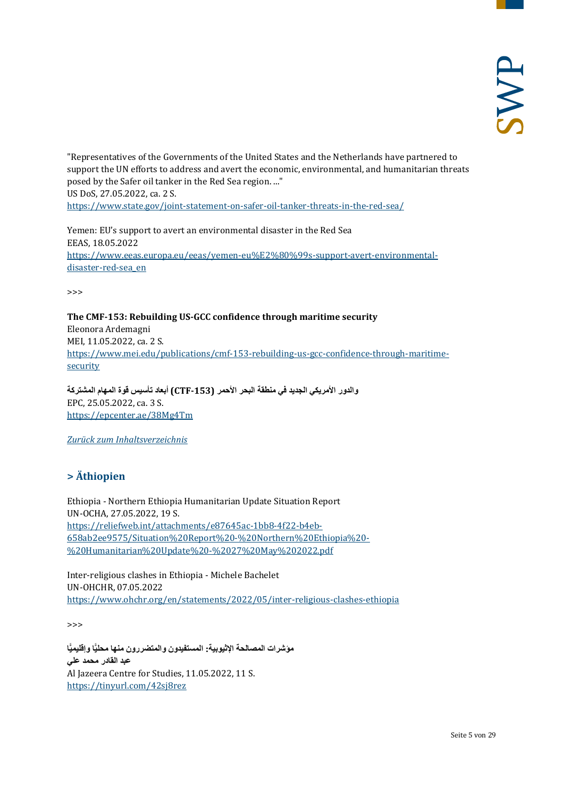"Representatives of the Governments of the United States and the Netherlands have partnered to support the UN efforts to address and avert the economic, environmental, and humanitarian threats posed by the Safer oil tanker in the Red Sea region. ..." US DoS, 27.05.2022, ca. 2 S.

<https://www.state.gov/joint-statement-on-safer-oil-tanker-threats-in-the-red-sea/>

Yemen: EU's support to avert an environmental disaster in the Red Sea EEAS, 18.05.2022 [https://www.eeas.europa.eu/eeas/yemen-eu%E2%80%99s-support-avert-environmental](https://www.eeas.europa.eu/eeas/yemen-eu%E2%80%99s-support-avert-environmental-disaster-red-sea_en)[disaster-red-sea\\_en](https://www.eeas.europa.eu/eeas/yemen-eu%E2%80%99s-support-avert-environmental-disaster-red-sea_en)

>>>

**The CMF-153: Rebuilding US-GCC confidence through maritime security** Eleonora Ardemagni MEI, 11.05.2022, ca. 2 S. [https://www.mei.edu/publications/cmf-153-rebuilding-us-gcc-confidence-through-maritime](https://www.mei.edu/publications/cmf-153-rebuilding-us-gcc-confidence-through-maritime-security)[security](https://www.mei.edu/publications/cmf-153-rebuilding-us-gcc-confidence-through-maritime-security)

**والدور الأمریكي الجدید في منطقة البحر الأحمر (-153CTF (أبعاد تأسیس قوة المھام المشتركة** EPC, 25.05.2022, ca. 3 S. <https://epcenter.ae/38Mg4Tm>

<span id="page-4-0"></span>*[Zurück zum Inhaltsverzeichnis](#page-0-0)*

## **> Äthiopien**

Ethiopia - Northern Ethiopia Humanitarian Update Situation Report UN-OCHA, 27.05.2022, 19 S. [https://reliefweb.int/attachments/e87645ac-1bb8-4f22-b4eb-](https://reliefweb.int/attachments/e87645ac-1bb8-4f22-b4eb-658ab2ee9575/Situation%20Report%20-%20Northern%20Ethiopia%20-%20Humanitarian%20Update%20-%2027%20May%202022.pdf)[658ab2ee9575/Situation%20Report%20-%20Northern%20Ethiopia%20-](https://reliefweb.int/attachments/e87645ac-1bb8-4f22-b4eb-658ab2ee9575/Situation%20Report%20-%20Northern%20Ethiopia%20-%20Humanitarian%20Update%20-%2027%20May%202022.pdf) [%20Humanitarian%20Update%20-%2027%20May%202022.pdf](https://reliefweb.int/attachments/e87645ac-1bb8-4f22-b4eb-658ab2ee9575/Situation%20Report%20-%20Northern%20Ethiopia%20-%20Humanitarian%20Update%20-%2027%20May%202022.pdf)

Inter-religious clashes in Ethiopia - Michele Bachelet UN-OHCHR, 07.05.2022 <https://www.ohchr.org/en/statements/2022/05/inter-religious-clashes-ethiopia>

>>>

مؤشرات المصالحة الإثيوبیة: المستفیدون والمتضررون منها محلی**ّا وإقلیمیّا عبد القادر محمد علي** Al Jazeera Centre for Studies, 11.05.2022, 11 S. <https://tinyurl.com/42sj8rez>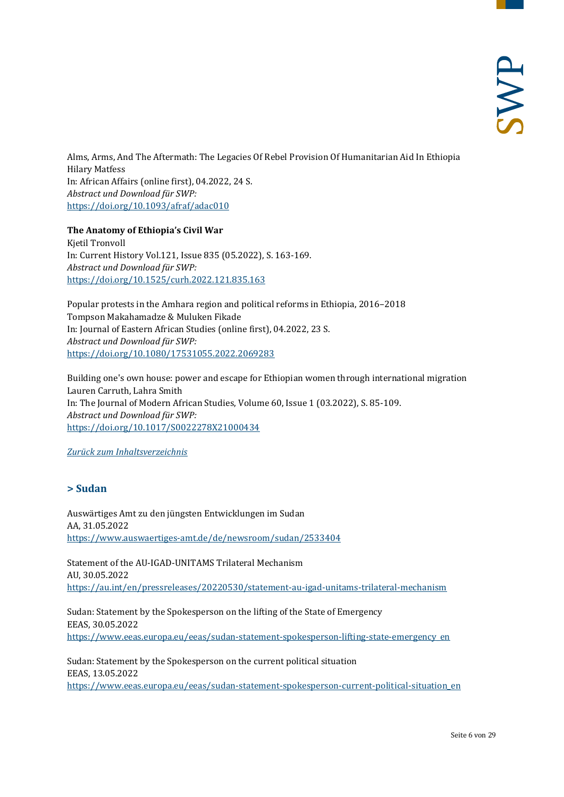Alms, Arms, And The Aftermath: The Legacies Of Rebel Provision Of Humanitarian Aid In Ethiopia Hilary Matfess In: African Affairs (online first), 04.2022, 24 S. *Abstract und Download für SWP:* <https://doi.org/10.1093/afraf/adac010>

**The Anatomy of Ethiopia's Civil War**

Kjetil Tronvoll In: Current History Vol.121, Issue 835 (05.2022), S. 163-169. *Abstract und Download für SWP:* <https://doi.org/10.1525/curh.2022.121.835.163>

Popular protests in the Amhara region and political reforms in Ethiopia, 2016–2018 Tompson Makahamadze & Muluken Fikade In: Journal of Eastern African Studies (online first), 04.2022, 23 S. *Abstract und Download für SWP:* <https://doi.org/10.1080/17531055.2022.2069283>

Building one's own house: power and escape for Ethiopian women through international migration Lauren Carruth, Lahra Smith In: The Journal of Modern African Studies, Volume 60, Issue 1 (03.2022), S. 85-109. *Abstract und Download für SWP:* <https://doi.org/10.1017/S0022278X21000434>

<span id="page-5-0"></span>*[Zurück zum Inhaltsverzeichnis](#page-0-0)*

#### **> Sudan**

Auswärtiges Amt zu den jüngsten Entwicklungen im Sudan AA, 31.05.2022 <https://www.auswaertiges-amt.de/de/newsroom/sudan/2533404>

Statement of the AU-IGAD-UNITAMS Trilateral Mechanism AU, 30.05.2022 <https://au.int/en/pressreleases/20220530/statement-au-igad-unitams-trilateral-mechanism>

Sudan: Statement by the Spokesperson on the lifting of the State of Emergency EEAS, 30.05.2022 [https://www.eeas.europa.eu/eeas/sudan-statement-spokesperson-lifting-state-emergency\\_en](https://www.eeas.europa.eu/eeas/sudan-statement-spokesperson-lifting-state-emergency_en)

Sudan: Statement by the Spokesperson on the current political situation EEAS, 13.05.2022 [https://www.eeas.europa.eu/eeas/sudan-statement-spokesperson-current-political-situation\\_en](https://www.eeas.europa.eu/eeas/sudan-statement-spokesperson-current-political-situation_en)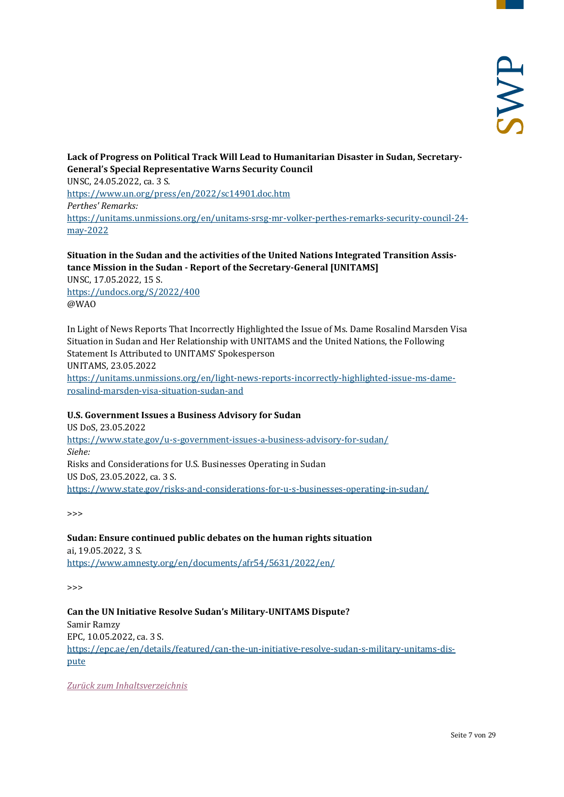**Lack of Progress on Political Track Will Lead to Humanitarian Disaster in Sudan, Secretary-General's Special Representative Warns Security Council** UNSC, 24.05.2022, ca. 3 S. <https://www.un.org/press/en/2022/sc14901.doc.htm> *Perthes' Remarks:* [https://unitams.unmissions.org/en/unitams-srsg-mr-volker-perthes-remarks-security-council-24](https://unitams.unmissions.org/en/unitams-srsg-mr-volker-perthes-remarks-security-council-24-may-2022) [may-2022](https://unitams.unmissions.org/en/unitams-srsg-mr-volker-perthes-remarks-security-council-24-may-2022)

#### **Situation in the Sudan and the activities of the United Nations Integrated Transition Assistance Mission in the Sudan - Report of the Secretary-General [UNITAMS]**

UNSC, 17.05.2022, 15 S. <https://undocs.org/S/2022/400> @WAO

In Light of News Reports That Incorrectly Highlighted the Issue of Ms. Dame Rosalind Marsden Visa Situation in Sudan and Her Relationship with UNITAMS and the United Nations, the Following Statement Is Attributed to UNITAMS' Spokesperson UNITAMS, 23.05.2022 [https://unitams.unmissions.org/en/light-news-reports-incorrectly-highlighted-issue-ms-dame](https://unitams.unmissions.org/en/light-news-reports-incorrectly-highlighted-issue-ms-dame-rosalind-marsden-visa-situation-sudan-and)[rosalind-marsden-visa-situation-sudan-and](https://unitams.unmissions.org/en/light-news-reports-incorrectly-highlighted-issue-ms-dame-rosalind-marsden-visa-situation-sudan-and)

#### **U.S. Government Issues a Business Advisory for Sudan**

US DoS, 23.05.2022 <https://www.state.gov/u-s-government-issues-a-business-advisory-for-sudan/> *Siehe:* Risks and Considerations for U.S. Businesses Operating in Sudan US DoS, 23.05.2022, ca. 3 S. <https://www.state.gov/risks-and-considerations-for-u-s-businesses-operating-in-sudan/>

>>>

#### **Sudan: Ensure continued public debates on the human rights situation**

ai, 19.05.2022, 3 S. <https://www.amnesty.org/en/documents/afr54/5631/2022/en/>

>>>

**Can the UN Initiative Resolve Sudan's Military-UNITAMS Dispute?** Samir Ramzy EPC, 10.05.2022, ca. 3 S. [https://epc.ae/en/details/featured/can-the-un-initiative-resolve-sudan-s-military-unitams-dis](https://epc.ae/en/details/featured/can-the-un-initiative-resolve-sudan-s-military-unitams-dispute)[pute](https://epc.ae/en/details/featured/can-the-un-initiative-resolve-sudan-s-military-unitams-dispute)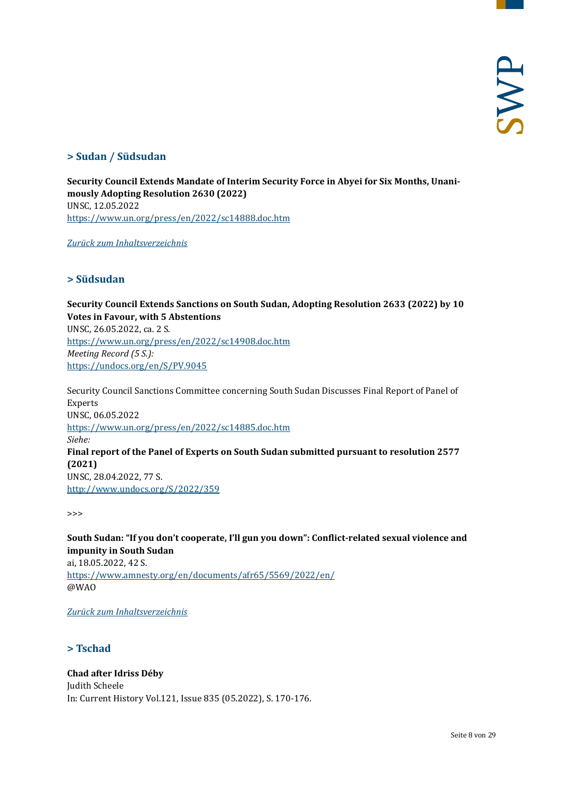#### <span id="page-7-0"></span>**> Sudan / Südsudan**

**Security Council Extends Mandate of Interim Security Force in Abyei for Six Months, Unanimously Adopting Resolution 2630 (2022)** UNSC, 12.05.2022 <https://www.un.org/press/en/2022/sc14888.doc.htm>

<span id="page-7-1"></span>*[Zurück zum Inhaltsverzeichnis](#page-0-0)*

#### **> Südsudan**

**Security Council Extends Sanctions on South Sudan, Adopting Resolution 2633 (2022) by 10 Votes in Favour, with 5 Abstentions** UNSC, 26.05.2022, ca. 2 S. <https://www.un.org/press/en/2022/sc14908.doc.htm> *Meeting Record (5 S.):* <https://undocs.org/en/S/PV.9045>

Security Council Sanctions Committee concerning South Sudan Discusses Final Report of Panel of Experts UNSC, 06.05.2022 <https://www.un.org/press/en/2022/sc14885.doc.htm> *Siehe:* **Final report of the Panel of Experts on South Sudan submitted pursuant to resolution 2577 (2021)** UNSC, 28.04.2022, 77 S. <http://www.undocs.org/S/2022/359>

>>>

**South Sudan: "If you don't cooperate, I'll gun you down": Conflict-related sexual violence and impunity in South Sudan** ai, 18.05.2022, 42 S.

<https://www.amnesty.org/en/documents/afr65/5569/2022/en/> @WAO

<span id="page-7-2"></span>*[Zurück zum Inhaltsverzeichnis](#page-0-0)*

#### **> Tschad**

**Chad after Idriss Déby** Judith Scheele In: Current History Vol.121, Issue 835 (05.2022), S. 170-176.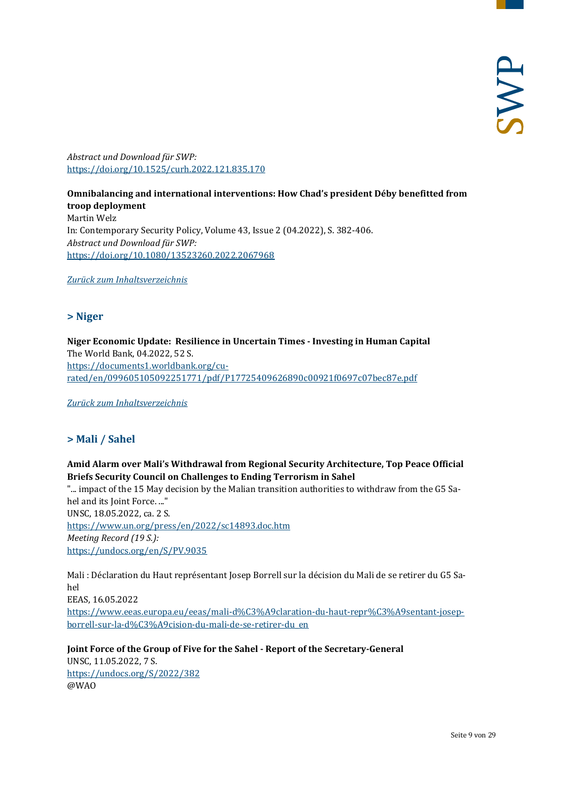*Abstract und Download für SWP:* <https://doi.org/10.1525/curh.2022.121.835.170>

**Omnibalancing and international interventions: How Chad's president Déby benefitted from troop deployment** Martin Welz In: Contemporary Security Policy, Volume 43, Issue 2 (04.2022), S. 382-406. *Abstract und Download für SWP:* <https://doi.org/10.1080/13523260.2022.2067968>

<span id="page-8-0"></span>*[Zurück zum Inhaltsverzeichnis](#page-0-0)*

#### **> Niger**

**Niger Economic Update: Resilience in Uncertain Times - Investing in Human Capital** The World Bank, 04.2022, 52 S. [https://documents1.worldbank.org/cu](https://documents1.worldbank.org/curated/en/099605105092251771/pdf/P17725409626890c00921f0697c07bec87e.pdf)[rated/en/099605105092251771/pdf/P17725409626890c00921f0697c07bec87e.pdf](https://documents1.worldbank.org/curated/en/099605105092251771/pdf/P17725409626890c00921f0697c07bec87e.pdf)

<span id="page-8-1"></span>*[Zurück zum Inhaltsverzeichnis](#page-0-0)*

#### **> Mali / Sahel**

#### **Amid Alarm over Mali's Withdrawal from Regional Security Architecture, Top Peace Official Briefs Security Council on Challenges to Ending Terrorism in Sahel**

"... impact of the 15 May decision by the Malian transition authorities to withdraw from the G5 Sahel and its Joint Force. ..." UNSC, 18.05.2022, ca. 2 S. <https://www.un.org/press/en/2022/sc14893.doc.htm> *Meeting Record (19 S.):* <https://undocs.org/en/S/PV.9035>

Mali : Déclaration du Haut représentant Josep Borrell sur la décision du Mali de se retirer du G5 Sahel EEAS, 16.05.2022

[https://www.eeas.europa.eu/eeas/mali-d%C3%A9claration-du-haut-repr%C3%A9sentant-josep](https://www.eeas.europa.eu/eeas/mali-d%C3%A9claration-du-haut-repr%C3%A9sentant-josep-borrell-sur-la-d%C3%A9cision-du-mali-de-se-retirer-du_en)[borrell-sur-la-d%C3%A9cision-du-mali-de-se-retirer-du\\_en](https://www.eeas.europa.eu/eeas/mali-d%C3%A9claration-du-haut-repr%C3%A9sentant-josep-borrell-sur-la-d%C3%A9cision-du-mali-de-se-retirer-du_en)

**Joint Force of the Group of Five for the Sahel - Report of the Secretary-General** UNSC, 11.05.2022, 7 S. <https://undocs.org/S/2022/382> @WAO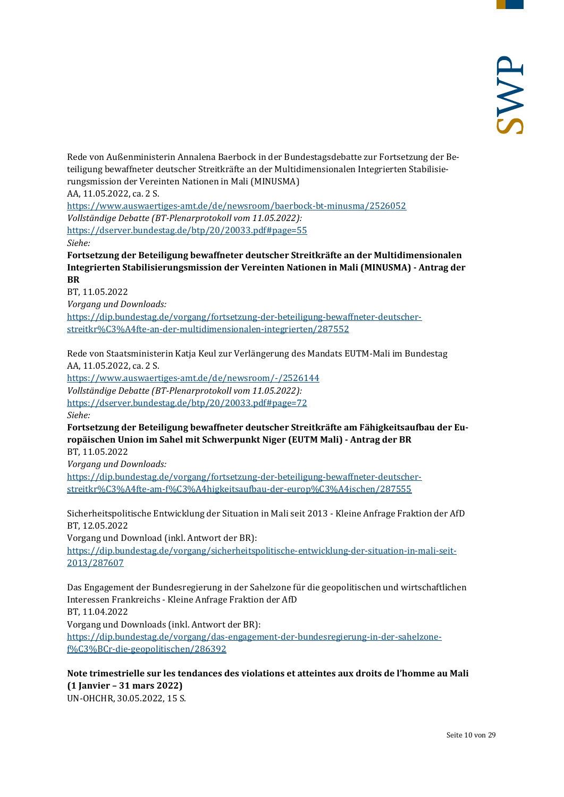Rede von Außenministerin Annalena Baerbock in der Bundestagsdebatte zur Fortsetzung der Beteiligung bewaffneter deutscher Streitkräfte an der Multidimensionalen Integrierten Stabilisierungsmission der Vereinten Nationen in Mali (MINUSMA)

AA, 11.05.2022, ca. 2 S.

<https://www.auswaertiges-amt.de/de/newsroom/baerbock-bt-minusma/2526052> *Vollständige Debatte (BT-Plenarprotokoll vom 11.05.2022):* <https://dserver.bundestag.de/btp/20/20033.pdf#page=55> *Siehe:*

**Fortsetzung der Beteiligung bewaffneter deutscher Streitkräfte an der Multidimensionalen Integrierten Stabilisierungsmission der Vereinten Nationen in Mali (MINUSMA) - Antrag der BR**

BT, 11.05.2022

*Vorgang und Downloads:*

[https://dip.bundestag.de/vorgang/fortsetzung-der-beteiligung-bewaffneter-deutscher](https://dip.bundestag.de/vorgang/fortsetzung-der-beteiligung-bewaffneter-deutscher-streitkr%C3%A4fte-an-der-multidimensionalen-integrierten/287552)[streitkr%C3%A4fte-an-der-multidimensionalen-integrierten/287552](https://dip.bundestag.de/vorgang/fortsetzung-der-beteiligung-bewaffneter-deutscher-streitkr%C3%A4fte-an-der-multidimensionalen-integrierten/287552)

Rede von Staatsministerin Katja Keul zur Verlängerung des Mandats EUTM-Mali im Bundestag AA, 11.05.2022, ca. 2 S.

<https://www.auswaertiges-amt.de/de/newsroom/-/2526144> *Vollständige Debatte (BT-Plenarprotokoll vom 11.05.2022):* <https://dserver.bundestag.de/btp/20/20033.pdf#page=72> *Siehe:*

**Fortsetzung der Beteiligung bewaffneter deutscher Streitkräfte am Fähigkeitsaufbau der Europäischen Union im Sahel mit Schwerpunkt Niger (EUTM Mali) - Antrag der BR**

BT, 11.05.2022

*Vorgang und Downloads:*

[https://dip.bundestag.de/vorgang/fortsetzung-der-beteiligung-bewaffneter-deutscher](https://dip.bundestag.de/vorgang/fortsetzung-der-beteiligung-bewaffneter-deutscher-streitkr%C3%A4fte-am-f%C3%A4higkeitsaufbau-der-europ%C3%A4ischen/287555)[streitkr%C3%A4fte-am-f%C3%A4higkeitsaufbau-der-europ%C3%A4ischen/287555](https://dip.bundestag.de/vorgang/fortsetzung-der-beteiligung-bewaffneter-deutscher-streitkr%C3%A4fte-am-f%C3%A4higkeitsaufbau-der-europ%C3%A4ischen/287555)

Sicherheitspolitische Entwicklung der Situation in Mali seit 2013 - Kleine Anfrage Fraktion der AfD BT, 12.05.2022

Vorgang und Download (inkl. Antwort der BR):

[https://dip.bundestag.de/vorgang/sicherheitspolitische-entwicklung-der-situation-in-mali-seit-](https://dip.bundestag.de/vorgang/sicherheitspolitische-entwicklung-der-situation-in-mali-seit-2013/287607)[2013/287607](https://dip.bundestag.de/vorgang/sicherheitspolitische-entwicklung-der-situation-in-mali-seit-2013/287607)

Das Engagement der Bundesregierung in der Sahelzone für die geopolitischen und wirtschaftlichen Interessen Frankreichs - Kleine Anfrage Fraktion der AfD BT, 11.04.2022 Vorgang und Downloads (inkl. Antwort der BR): [https://dip.bundestag.de/vorgang/das-engagement-der-bundesregierung-in-der-sahelzone](https://dip.bundestag.de/vorgang/das-engagement-der-bundesregierung-in-der-sahelzone-f%C3%BCr-die-geopolitischen/286392)[f%C3%BCr-die-geopolitischen/286392](https://dip.bundestag.de/vorgang/das-engagement-der-bundesregierung-in-der-sahelzone-f%C3%BCr-die-geopolitischen/286392)

# **Note trimestrielle sur les tendances des violations et atteintes aux droits de l'homme au Mali (1 Janvier – 31 mars 2022)**

UN-OHCHR, 30.05.2022, 15 S.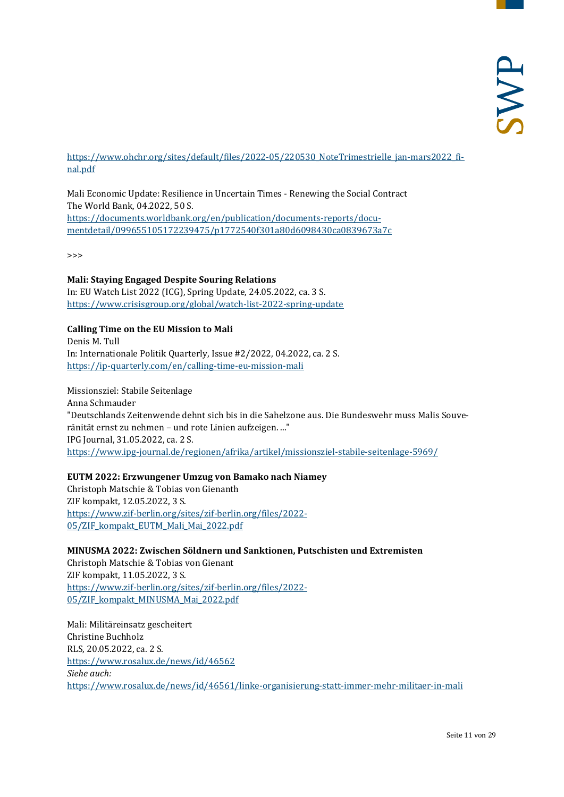[https://www.ohchr.org/sites/default/files/2022-05/220530\\_NoteTrimestrielle\\_jan-mars2022\\_fi](https://www.ohchr.org/sites/default/files/2022-05/220530_NoteTrimestrielle_jan-mars2022_final.pdf)[nal.pdf](https://www.ohchr.org/sites/default/files/2022-05/220530_NoteTrimestrielle_jan-mars2022_final.pdf)

Mali Economic Update: Resilience in Uncertain Times - Renewing the Social Contract The World Bank, 04.2022, 50 S. [https://documents.worldbank.org/en/publication/documents-reports/docu](https://documents.worldbank.org/en/publication/documents-reports/documentdetail/099655105172239475/p1772540f301a80d6098430ca0839673a7c)[mentdetail/099655105172239475/p1772540f301a80d6098430ca0839673a7c](https://documents.worldbank.org/en/publication/documents-reports/documentdetail/099655105172239475/p1772540f301a80d6098430ca0839673a7c)

>>>

#### **Mali: Staying Engaged Despite Souring Relations**

In: EU Watch List 2022 (ICG), Spring Update, 24.05.2022, ca. 3 S. <https://www.crisisgroup.org/global/watch-list-2022-spring-update>

#### **Calling Time on the EU Mission to Mali**

Denis M. Tull In: Internationale Politik Quarterly, Issue #2/2022, 04.2022, ca. 2 S. <https://ip-quarterly.com/en/calling-time-eu-mission-mali>

#### Missionsziel: Stabile Seitenlage Anna Schmauder "Deutschlands Zeitenwende dehnt sich bis in die Sahelzone aus. Die Bundeswehr muss Malis Souveränität ernst zu nehmen – und rote Linien aufzeigen. ..." IPG Journal, 31.05.2022, ca. 2 S. <https://www.ipg-journal.de/regionen/afrika/artikel/missionsziel-stabile-seitenlage-5969/>

#### **EUTM 2022: Erzwungener Umzug von Bamako nach Niamey**

Christoph Matschie & Tobias von Gienanth ZIF kompakt, 12.05.2022, 3 S. [https://www.zif-berlin.org/sites/zif-berlin.org/files/2022-](https://www.zif-berlin.org/sites/zif-berlin.org/files/2022-05/ZIF_kompakt_EUTM_Mali_Mai_2022.pdf) [05/ZIF\\_kompakt\\_EUTM\\_Mali\\_Mai\\_2022.pdf](https://www.zif-berlin.org/sites/zif-berlin.org/files/2022-05/ZIF_kompakt_EUTM_Mali_Mai_2022.pdf)

**MINUSMA 2022: Zwischen Söldnern und Sanktionen, Putschisten und Extremisten**

Christoph Matschie & Tobias von Gienant ZIF kompakt, 11.05.2022, 3 S. [https://www.zif-berlin.org/sites/zif-berlin.org/files/2022-](https://www.zif-berlin.org/sites/zif-berlin.org/files/2022-05/ZIF_kompakt_MINUSMA_Mai_2022.pdf) [05/ZIF\\_kompakt\\_MINUSMA\\_Mai\\_2022.pdf](https://www.zif-berlin.org/sites/zif-berlin.org/files/2022-05/ZIF_kompakt_MINUSMA_Mai_2022.pdf)

Mali: Militäreinsatz gescheitert Christine Buchholz RLS, 20.05.2022, ca. 2 S. <https://www.rosalux.de/news/id/46562> *Siehe auch:* <https://www.rosalux.de/news/id/46561/linke-organisierung-statt-immer-mehr-militaer-in-mali>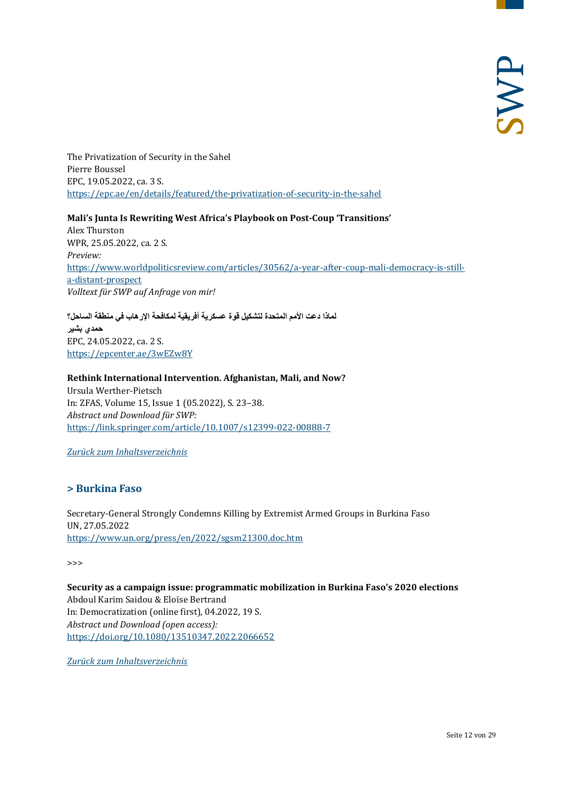The Privatization of Security in the Sahel Pierre Boussel EPC, 19.05.2022, ca. 3 S. <https://epc.ae/en/details/featured/the-privatization-of-security-in-the-sahel>

#### **Mali's Junta Is Rewriting West Africa's Playbook on Post-Coup 'Transitions'**

Alex Thurston WPR, 25.05.2022, ca. 2 S. *Preview:* [https://www.worldpoliticsreview.com/articles/30562/a-year-after-coup-mali-democracy-is-still](https://www.worldpoliticsreview.com/articles/30562/a-year-after-coup-mali-democracy-is-still-a-distant-prospect)[a-distant-prospect](https://www.worldpoliticsreview.com/articles/30562/a-year-after-coup-mali-democracy-is-still-a-distant-prospect) *Volltext für SWP auf Anfrage von mir!*

**لماذا دعت الأمم المتحدة لتشكیل قوة عسكریة أفریقیة لمكافحة الإرھاب في منطقة الساحل؟ حمدي بشیر** EPC, 24.05.2022, ca. 2 S. <https://epcenter.ae/3wEZw8Y>

#### **Rethink International Intervention. Afghanistan, Mali, and Now?**

Ursula Werther-Pietsch In: ZFAS, Volume 15, Issue 1 (05.2022), S. 23–38. *Abstract und Download für SWP:* <https://link.springer.com/article/10.1007/s12399-022-00888-7>

<span id="page-11-0"></span>*[Zurück zum Inhaltsverzeichnis](#page-0-0)*

#### **> Burkina Faso**

Secretary-General Strongly Condemns Killing by Extremist Armed Groups in Burkina Faso UN, 27.05.2022 <https://www.un.org/press/en/2022/sgsm21300.doc.htm>

>>>

**Security as a campaign issue: programmatic mobilization in Burkina Faso's 2020 elections** Abdoul Karim Saidou & Eloïse Bertrand In: Democratization (online first), 04.2022, 19 S. *Abstract und Download (open access):* <https://doi.org/10.1080/13510347.2022.2066652>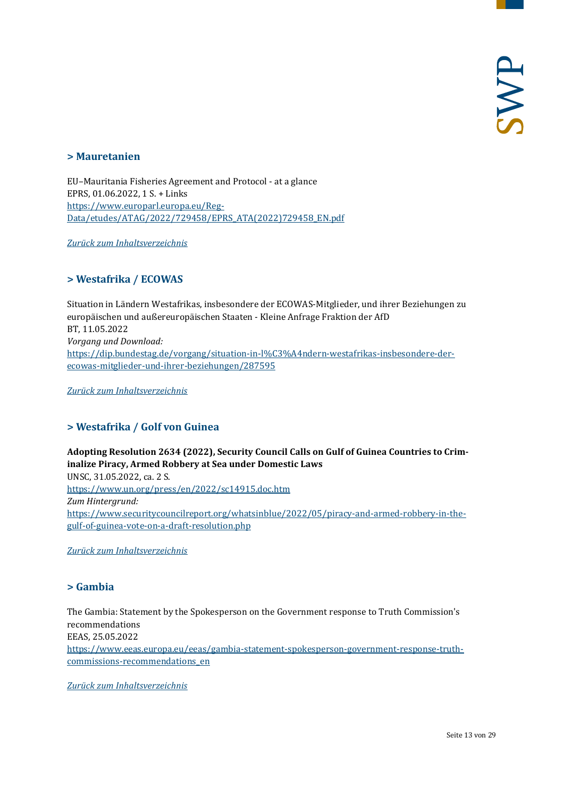#### <span id="page-12-0"></span>**> Mauretanien**

EU–Mauritania Fisheries Agreement and Protocol - at a glance EPRS, 01.06.2022, 1 S. + Links [https://www.europarl.europa.eu/Reg-](https://www.europarl.europa.eu/RegData/etudes/ATAG/2022/729458/EPRS_ATA(2022)729458_EN.pdf)[Data/etudes/ATAG/2022/729458/EPRS\\_ATA\(2022\)729458\\_EN.pdf](https://www.europarl.europa.eu/RegData/etudes/ATAG/2022/729458/EPRS_ATA(2022)729458_EN.pdf)

<span id="page-12-1"></span>*[Zurück zum Inhaltsverzeichnis](#page-0-0)*

#### **> Westafrika / ECOWAS**

Situation in Ländern Westafrikas, insbesondere der ECOWAS-Mitglieder, und ihrer Beziehungen zu europäischen und außereuropäischen Staaten - Kleine Anfrage Fraktion der AfD BT, 11.05.2022 *Vorgang und Download:* [https://dip.bundestag.de/vorgang/situation-in-l%C3%A4ndern-westafrikas-insbesondere-der](https://dip.bundestag.de/vorgang/situation-in-l%C3%A4ndern-westafrikas-insbesondere-der-ecowas-mitglieder-und-ihrer-beziehungen/287595)[ecowas-mitglieder-und-ihrer-beziehungen/287595](https://dip.bundestag.de/vorgang/situation-in-l%C3%A4ndern-westafrikas-insbesondere-der-ecowas-mitglieder-und-ihrer-beziehungen/287595)

<span id="page-12-2"></span>*[Zurück zum Inhaltsverzeichnis](#page-0-0)*

#### **> Westafrika / Golf von Guinea**

**Adopting Resolution 2634 (2022), Security Council Calls on Gulf of Guinea Countries to Criminalize Piracy, Armed Robbery at Sea under Domestic Laws** UNSC, 31.05.2022, ca. 2 S. <https://www.un.org/press/en/2022/sc14915.doc.htm> *Zum Hintergrund:* [https://www.securitycouncilreport.org/whatsinblue/2022/05/piracy-and-armed-robbery-in-the](https://www.securitycouncilreport.org/whatsinblue/2022/05/piracy-and-armed-robbery-in-the-gulf-of-guinea-vote-on-a-draft-resolution.php)[gulf-of-guinea-vote-on-a-draft-resolution.php](https://www.securitycouncilreport.org/whatsinblue/2022/05/piracy-and-armed-robbery-in-the-gulf-of-guinea-vote-on-a-draft-resolution.php)

<span id="page-12-3"></span>*[Zurück zum Inhaltsverzeichnis](#page-0-0)*

#### **> Gambia**

The Gambia: Statement by the Spokesperson on the Government response to Truth Commission's recommendations EEAS, 25.05.2022 [https://www.eeas.europa.eu/eeas/gambia-statement-spokesperson-government-response-truth](https://www.eeas.europa.eu/eeas/gambia-statement-spokesperson-government-response-truth-commissions-recommendations_en)[commissions-recommendations\\_en](https://www.eeas.europa.eu/eeas/gambia-statement-spokesperson-government-response-truth-commissions-recommendations_en)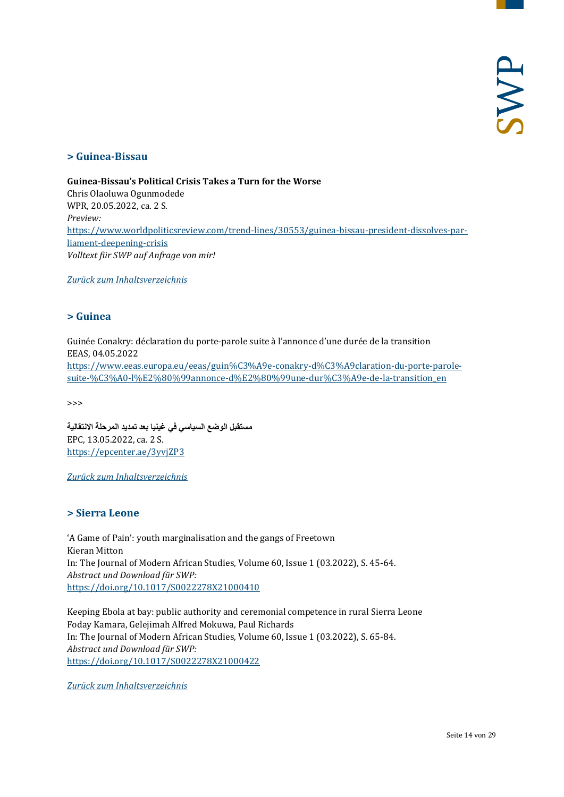#### <span id="page-13-0"></span>**> Guinea-Bissau**

**Guinea-Bissau's Political Crisis Takes a Turn for the Worse** Chris Olaoluwa Ogunmodede WPR, 20.05.2022, ca. 2 S. *Preview:* [https://www.worldpoliticsreview.com/trend-lines/30553/guinea-bissau-president-dissolves-par](https://www.worldpoliticsreview.com/trend-lines/30553/guinea-bissau-president-dissolves-parliament-deepening-crisis)[liament-deepening-crisis](https://www.worldpoliticsreview.com/trend-lines/30553/guinea-bissau-president-dissolves-parliament-deepening-crisis) *Volltext für SWP auf Anfrage von mir!*

<span id="page-13-1"></span>*[Zurück zum Inhaltsverzeichnis](#page-0-0)*

#### **> Guinea**

Guinée Conakry: déclaration du porte-parole suite à l'annonce d'une durée de la transition EEAS, 04.05.2022 [https://www.eeas.europa.eu/eeas/guin%C3%A9e-conakry-d%C3%A9claration-du-porte-parole](https://www.eeas.europa.eu/eeas/guin%C3%A9e-conakry-d%C3%A9claration-du-porte-parole-suite-%C3%A0-l%E2%80%99annonce-d%E2%80%99une-dur%C3%A9e-de-la-transition_en)[suite-%C3%A0-l%E2%80%99annonce-d%E2%80%99une-dur%C3%A9e-de-la-transition\\_en](https://www.eeas.europa.eu/eeas/guin%C3%A9e-conakry-d%C3%A9claration-du-porte-parole-suite-%C3%A0-l%E2%80%99annonce-d%E2%80%99une-dur%C3%A9e-de-la-transition_en)

>>>

**مستقبل الوضع السیاسي في غینیا بعد تمدید المرحلة الانتقالیة** EPC, 13.05.2022, ca. 2 S. <https://epcenter.ae/3yvjZP3>

<span id="page-13-2"></span>*[Zurück zum Inhaltsverzeichnis](#page-0-0)*

#### **> Sierra Leone**

'A Game of Pain': youth marginalisation and the gangs of Freetown Kieran Mitton In: The Journal of Modern African Studies, Volume 60, Issue 1 (03.2022), S. 45-64. *Abstract und Download für SWP:* <https://doi.org/10.1017/S0022278X21000410>

Keeping Ebola at bay: public authority and ceremonial competence in rural Sierra Leone Foday Kamara, Gelejimah Alfred Mokuwa, Paul Richards In: The Journal of Modern African Studies, Volume 60, Issue 1 (03.2022), S. 65-84. *Abstract und Download für SWP:* <https://doi.org/10.1017/S0022278X21000422>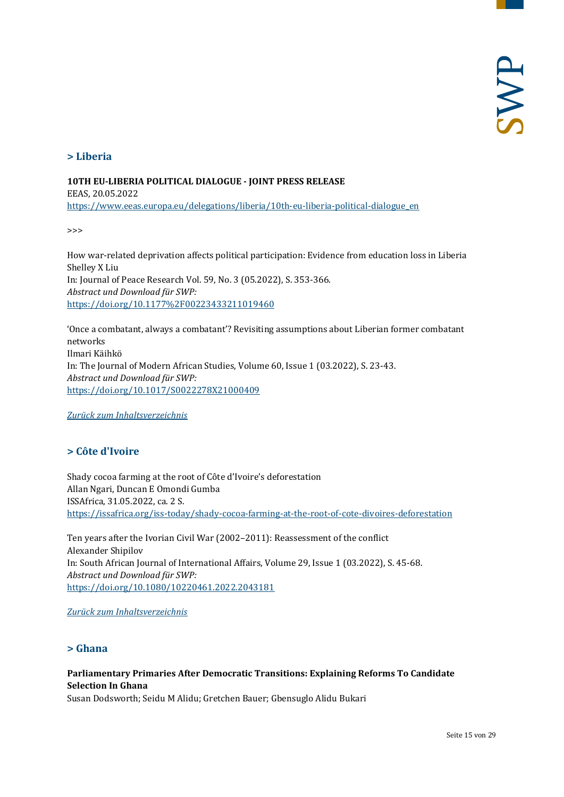#### <span id="page-14-0"></span>**> Liberia**

#### **10TH EU-LIBERIA POLITICAL DIALOGUE - JOINT PRESS RELEASE**

EEAS, 20.05.2022 [https://www.eeas.europa.eu/delegations/liberia/10th-eu-liberia-political-dialogue\\_en](https://www.eeas.europa.eu/delegations/liberia/10th-eu-liberia-political-dialogue_en)

>>>

How war-related deprivation affects political participation: Evidence from education loss in Liberia Shelley X Liu In: Journal of Peace Research Vol. 59, No. 3 (05.2022), S. 353-366. *Abstract und Download für SWP:* <https://doi.org/10.1177%2F00223433211019460>

'Once a combatant, always a combatant'? Revisiting assumptions about Liberian former combatant networks Ilmari Käihkö In: The Journal of Modern African Studies, Volume 60, Issue 1 (03.2022), S. 23-43. *Abstract und Download für SWP:* <https://doi.org/10.1017/S0022278X21000409>

<span id="page-14-1"></span>*[Zurück zum Inhaltsverzeichnis](#page-0-0)*

#### **> Côte d'Ivoire**

Shady cocoa farming at the root of Côte d'Ivoire's deforestation Allan Ngari, Duncan E Omondi Gumba ISSAfrica, 31.05.2022, ca. 2 S. <https://issafrica.org/iss-today/shady-cocoa-farming-at-the-root-of-cote-divoires-deforestation>

Ten years after the Ivorian Civil War (2002–2011): Reassessment of the conflict Alexander Shipilov In: South African Journal of International Affairs, Volume 29, Issue 1 (03.2022), S. 45-68. *Abstract und Download für SWP:* <https://doi.org/10.1080/10220461.2022.2043181>

#### <span id="page-14-2"></span>*[Zurück zum Inhaltsverzeichnis](#page-0-0)*

#### **> Ghana**

#### **Parliamentary Primaries After Democratic Transitions: Explaining Reforms To Candidate Selection In Ghana**

Susan Dodsworth; Seidu M Alidu; Gretchen Bauer; Gbensuglo Alidu Bukari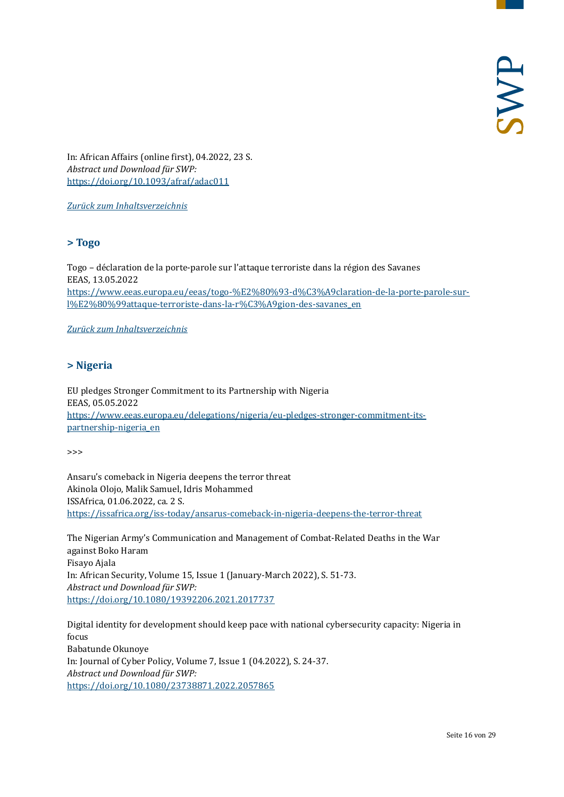In: African Affairs (online first), 04.2022, 23 S. *Abstract und Download für SWP:* <https://doi.org/10.1093/afraf/adac011>

<span id="page-15-0"></span>*[Zurück zum Inhaltsverzeichnis](#page-0-0)*

#### **> Togo**

Togo – déclaration de la porte-parole sur l'attaque terroriste dans la région des Savanes EEAS, 13.05.2022 [https://www.eeas.europa.eu/eeas/togo-%E2%80%93-d%C3%A9claration-de-la-porte-parole-sur](https://www.eeas.europa.eu/eeas/togo-%E2%80%93-d%C3%A9claration-de-la-porte-parole-sur-l%E2%80%99attaque-terroriste-dans-la-r%C3%A9gion-des-savanes_en)[l%E2%80%99attaque-terroriste-dans-la-r%C3%A9gion-des-savanes\\_en](https://www.eeas.europa.eu/eeas/togo-%E2%80%93-d%C3%A9claration-de-la-porte-parole-sur-l%E2%80%99attaque-terroriste-dans-la-r%C3%A9gion-des-savanes_en)

<span id="page-15-1"></span>*[Zurück zum Inhaltsverzeichnis](#page-0-0)*

#### **> Nigeria**

EU pledges Stronger Commitment to its Partnership with Nigeria EEAS, 05.05.2022 [https://www.eeas.europa.eu/delegations/nigeria/eu-pledges-stronger-commitment-its](https://www.eeas.europa.eu/delegations/nigeria/eu-pledges-stronger-commitment-its-partnership-nigeria_en)[partnership-nigeria\\_en](https://www.eeas.europa.eu/delegations/nigeria/eu-pledges-stronger-commitment-its-partnership-nigeria_en)

>>>

Ansaru's comeback in Nigeria deepens the terror threat Akinola Olojo, Malik Samuel, Idris Mohammed ISSAfrica, 01.06.2022, ca. 2 S. <https://issafrica.org/iss-today/ansarus-comeback-in-nigeria-deepens-the-terror-threat>

The Nigerian Army's Communication and Management of Combat-Related Deaths in the War against Boko Haram Fisayo Ajala In: African Security, Volume 15, Issue 1 (January-March 2022), S. 51-73. *Abstract und Download für SWP:* <https://doi.org/10.1080/19392206.2021.2017737>

Digital identity for development should keep pace with national cybersecurity capacity: Nigeria in focus Babatunde Okunoye In: Journal of Cyber Policy, Volume 7, Issue 1 (04.2022), S. 24-37. *Abstract und Download für SWP:* <https://doi.org/10.1080/23738871.2022.2057865>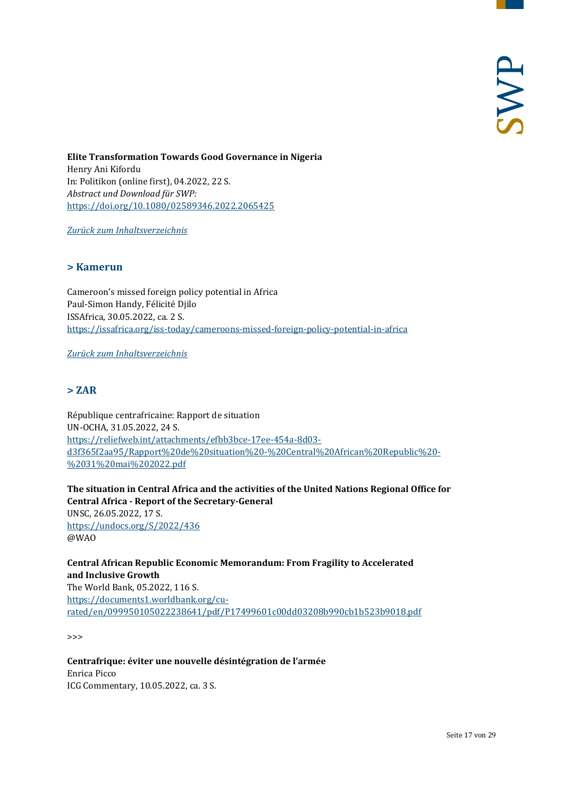**Elite Transformation Towards Good Governance in Nigeria** Henry Ani Kifordu In: Politikon (online first), 04.2022, 22 S. *Abstract und Download für SWP:* <https://doi.org/10.1080/02589346.2022.2065425>

<span id="page-16-0"></span>*[Zurück zum Inhaltsverzeichnis](#page-0-0)*

#### **> Kamerun**

Cameroon's missed foreign policy potential in Africa Paul-Simon Handy, Félicité Djilo ISSAfrica, 30.05.2022, ca. 2 S. <https://issafrica.org/iss-today/cameroons-missed-foreign-policy-potential-in-africa>

<span id="page-16-1"></span>*[Zurück zum Inhaltsverzeichnis](#page-0-0)*

#### **> ZAR**

République centrafricaine: Rapport de situation UN-OCHA, 31.05.2022, 24 S. [https://reliefweb.int/attachments/efbb3bce-17ee-454a-8d03](https://reliefweb.int/attachments/efbb3bce-17ee-454a-8d03-d3f365f2aa95/Rapport%20de%20situation%20-%20Central%20African%20Republic%20-%2031%20mai%202022.pdf) [d3f365f2aa95/Rapport%20de%20situation%20-%20Central%20African%20Republic%20-](https://reliefweb.int/attachments/efbb3bce-17ee-454a-8d03-d3f365f2aa95/Rapport%20de%20situation%20-%20Central%20African%20Republic%20-%2031%20mai%202022.pdf) [%2031%20mai%202022.pdf](https://reliefweb.int/attachments/efbb3bce-17ee-454a-8d03-d3f365f2aa95/Rapport%20de%20situation%20-%20Central%20African%20Republic%20-%2031%20mai%202022.pdf)

**The situation in Central Africa and the activities of the United Nations Regional Office for Central Africa - Report of the Secretary-General** UNSC, 26.05.2022, 17 S. <https://undocs.org/S/2022/436> @WAO

**Central African Republic Economic Memorandum: From Fragility to Accelerated and Inclusive Growth** The World Bank, 05.2022, 116 S. [https://documents1.worldbank.org/cu](https://documents1.worldbank.org/curated/en/099950105022238641/pdf/P17499601c00dd03208b990cb1b523b9018.pdf)[rated/en/099950105022238641/pdf/P17499601c00dd03208b990cb1b523b9018.pdf](https://documents1.worldbank.org/curated/en/099950105022238641/pdf/P17499601c00dd03208b990cb1b523b9018.pdf)

>>>

**Centrafrique: éviter une nouvelle désintégration de l'armée** Enrica Picco ICG Commentary, 10.05.2022, ca. 3 S.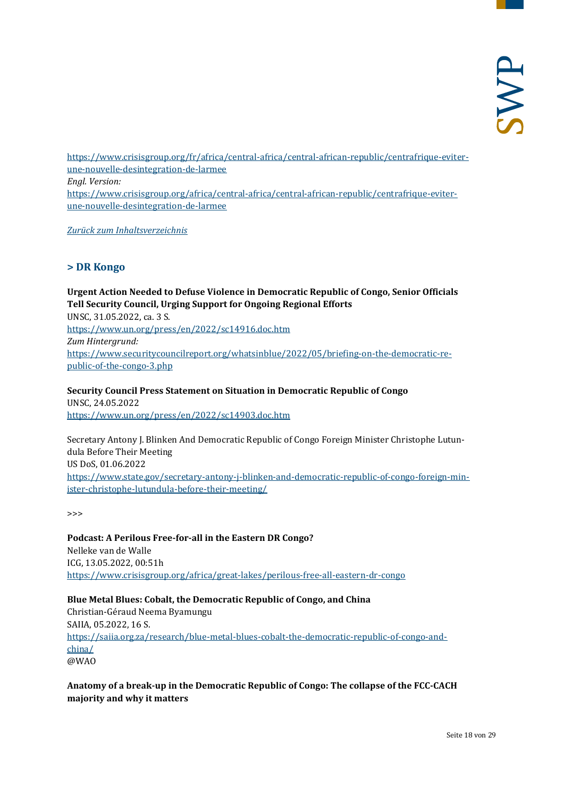[https://www.crisisgroup.org/fr/africa/central-africa/central-african-republic/centrafrique-eviter](https://www.crisisgroup.org/fr/africa/central-africa/central-african-republic/centrafrique-eviter-une-nouvelle-desintegration-de-larmee)[une-nouvelle-desintegration-de-larmee](https://www.crisisgroup.org/fr/africa/central-africa/central-african-republic/centrafrique-eviter-une-nouvelle-desintegration-de-larmee) *Engl. Version:* [https://www.crisisgroup.org/africa/central-africa/central-african-republic/centrafrique-eviter](https://www.crisisgroup.org/africa/central-africa/central-african-republic/centrafrique-eviter-une-nouvelle-desintegration-de-larmee)[une-nouvelle-desintegration-de-larmee](https://www.crisisgroup.org/africa/central-africa/central-african-republic/centrafrique-eviter-une-nouvelle-desintegration-de-larmee)

<span id="page-17-0"></span>*[Zurück zum Inhaltsverzeichnis](#page-0-0)*

#### **> DR Kongo**

**Urgent Action Needed to Defuse Violence in Democratic Republic of Congo, Senior Officials Tell Security Council, Urging Support for Ongoing Regional Efforts** UNSC, 31.05.2022, ca. 3 S. <https://www.un.org/press/en/2022/sc14916.doc.htm> *Zum Hintergrund:* [https://www.securitycouncilreport.org/whatsinblue/2022/05/briefing-on-the-democratic-re](https://www.securitycouncilreport.org/whatsinblue/2022/05/briefing-on-the-democratic-republic-of-the-congo-3.php)[public-of-the-congo-3.php](https://www.securitycouncilreport.org/whatsinblue/2022/05/briefing-on-the-democratic-republic-of-the-congo-3.php)

**Security Council Press Statement on Situation in Democratic Republic of Congo** UNSC, 24.05.2022 <https://www.un.org/press/en/2022/sc14903.doc.htm>

Secretary Antony J. Blinken And Democratic Republic of Congo Foreign Minister Christophe Lutundula Before Their Meeting US DoS, 01.06.2022 [https://www.state.gov/secretary-antony-j-blinken-and-democratic-republic-of-congo-foreign-min](https://www.state.gov/secretary-antony-j-blinken-and-democratic-republic-of-congo-foreign-minister-christophe-lutundula-before-their-meeting/)[ister-christophe-lutundula-before-their-meeting/](https://www.state.gov/secretary-antony-j-blinken-and-democratic-republic-of-congo-foreign-minister-christophe-lutundula-before-their-meeting/)

>>>

**Podcast: A Perilous Free-for-all in the Eastern DR Congo?** Nelleke van de Walle ICG, 13.05.2022, 00:51h <https://www.crisisgroup.org/africa/great-lakes/perilous-free-all-eastern-dr-congo>

**Blue Metal Blues: Cobalt, the Democratic Republic of Congo, and China** Christian-Géraud Neema Byamungu SAIIA, 05.2022, 16 S. [https://saiia.org.za/research/blue-metal-blues-cobalt-the-democratic-republic-of-congo-and](https://saiia.org.za/research/blue-metal-blues-cobalt-the-democratic-republic-of-congo-and-china/)[china/](https://saiia.org.za/research/blue-metal-blues-cobalt-the-democratic-republic-of-congo-and-china/) @WAO

**Anatomy of a break-up in the Democratic Republic of Congo: The collapse of the FCC-CACH majority and why it matters**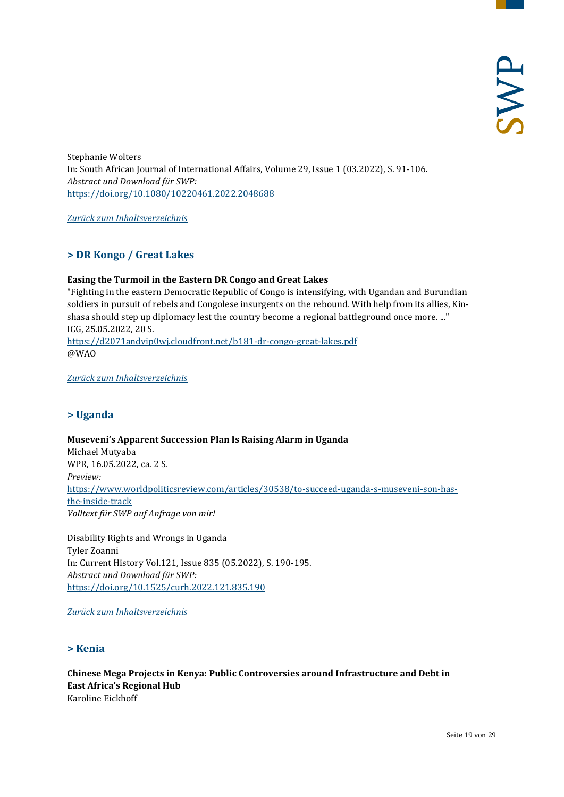Stephanie Wolters In: South African Journal of International Affairs, Volume 29, Issue 1 (03.2022), S. 91-106. *Abstract und Download für SWP:* <https://doi.org/10.1080/10220461.2022.2048688>

<span id="page-18-0"></span>*[Zurück zum Inhaltsverzeichnis](#page-0-0)*

#### **> DR Kongo / Great Lakes**

#### **Easing the Turmoil in the Eastern DR Congo and Great Lakes**

"Fighting in the eastern Democratic Republic of Congo is intensifying, with Ugandan and Burundian soldiers in pursuit of rebels and Congolese insurgents on the rebound. With help from its allies, Kinshasa should step up diplomacy lest the country become a regional battleground once more. ..." ICG, 25.05.2022, 20 S. <https://d2071andvip0wj.cloudfront.net/b181-dr-congo-great-lakes.pdf> @WAO

<span id="page-18-1"></span>*[Zurück zum Inhaltsverzeichnis](#page-0-0)*

#### **> Uganda**

**Museveni's Apparent Succession Plan Is Raising Alarm in Uganda** Michael Mutyaba WPR, 16.05.2022, ca. 2 S. *Preview:* [https://www.worldpoliticsreview.com/articles/30538/to-succeed-uganda-s-museveni-son-has](https://www.worldpoliticsreview.com/articles/30538/to-succeed-uganda-s-museveni-son-has-the-inside-track)[the-inside-track](https://www.worldpoliticsreview.com/articles/30538/to-succeed-uganda-s-museveni-son-has-the-inside-track) *Volltext für SWP auf Anfrage von mir!*

Disability Rights and Wrongs in Uganda Tyler Zoanni In: Current History Vol.121, Issue 835 (05.2022), S. 190-195. *Abstract und Download für SWP:*  <https://doi.org/10.1525/curh.2022.121.835.190>

<span id="page-18-2"></span>*[Zurück zum Inhaltsverzeichnis](#page-0-0)*

#### **> Kenia**

**Chinese Mega Projects in Kenya: Public Controversies around Infrastructure and Debt in East Africa's Regional Hub** Karoline Eickhoff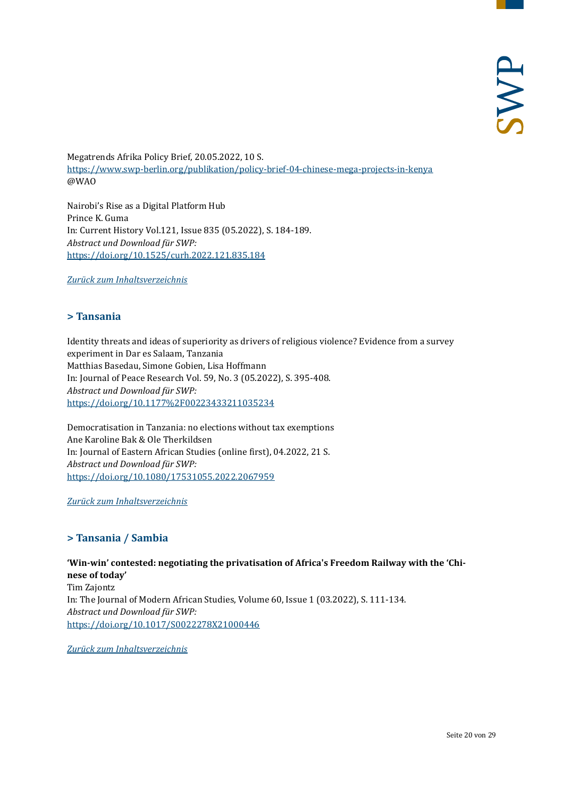Megatrends Afrika Policy Brief, 20.05.2022, 10 S. <https://www.swp-berlin.org/publikation/policy-brief-04-chinese-mega-projects-in-kenya> @WAO

Nairobi's Rise as a Digital Platform Hub Prince K. Guma In: Current History Vol.121, Issue 835 (05.2022), S. 184-189. *Abstract und Download für SWP:* <https://doi.org/10.1525/curh.2022.121.835.184>

<span id="page-19-0"></span>*[Zurück zum Inhaltsverzeichnis](#page-0-0)*

#### **> Tansania**

Identity threats and ideas of superiority as drivers of religious violence? Evidence from a survey experiment in Dar es Salaam, Tanzania Matthias Basedau, Simone Gobien, Lisa Hoffmann In: Journal of Peace Research Vol. 59, No. 3 (05.2022), S. 395-408. *Abstract und Download für SWP:* <https://doi.org/10.1177%2F00223433211035234>

Democratisation in Tanzania: no elections without tax exemptions Ane Karoline Bak & Ole Therkildsen In: Journal of Eastern African Studies (online first), 04.2022, 21 S. *Abstract und Download für SWP:* <https://doi.org/10.1080/17531055.2022.2067959>

<span id="page-19-1"></span>*[Zurück zum Inhaltsverzeichnis](#page-0-0)*

#### **> Tansania / Sambia**

**'Win-win' contested: negotiating the privatisation of Africa's Freedom Railway with the 'Chinese of today'**  Tim Zajontz In: The Journal of Modern African Studies, Volume 60, Issue 1 (03.2022), S. 111-134. *Abstract und Download für SWP:* <https://doi.org/10.1017/S0022278X21000446>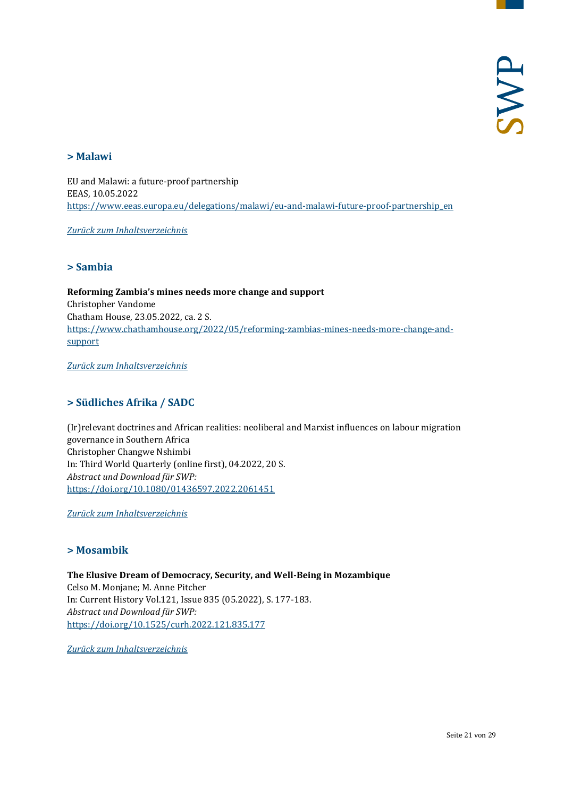#### <span id="page-20-0"></span>**> Malawi**

EU and Malawi: a future-proof partnership EEAS, 10.05.2022 [https://www.eeas.europa.eu/delegations/malawi/eu-and-malawi-future-proof-partnership\\_en](https://www.eeas.europa.eu/delegations/malawi/eu-and-malawi-future-proof-partnership_en)

<span id="page-20-1"></span>*[Zurück zum Inhaltsverzeichnis](#page-0-0)*

#### **> Sambia**

**Reforming Zambia's mines needs more change and support** Christopher Vandome Chatham House, 23.05.2022, ca. 2 S. [https://www.chathamhouse.org/2022/05/reforming-zambias-mines-needs-more-change-and](https://www.chathamhouse.org/2022/05/reforming-zambias-mines-needs-more-change-and-support)[support](https://www.chathamhouse.org/2022/05/reforming-zambias-mines-needs-more-change-and-support)

<span id="page-20-2"></span>*[Zurück zum Inhaltsverzeichnis](#page-0-0)*

#### **> Südliches Afrika / SADC**

(Ir)relevant doctrines and African realities: neoliberal and Marxist influences on labour migration governance in Southern Africa Christopher Changwe Nshimbi In: Third World Quarterly (online first), 04.2022, 20 S. *Abstract und Download für SWP:* <https://doi.org/10.1080/01436597.2022.2061451>

<span id="page-20-3"></span>*[Zurück zum Inhaltsverzeichnis](#page-0-0)*

#### **> Mosambik**

**The Elusive Dream of Democracy, Security, and Well-Being in Mozambique** Celso M. Monjane; M. Anne Pitcher In: Current History Vol.121, Issue 835 (05.2022), S. 177-183. *Abstract und Download für SWP:*  <https://doi.org/10.1525/curh.2022.121.835.177>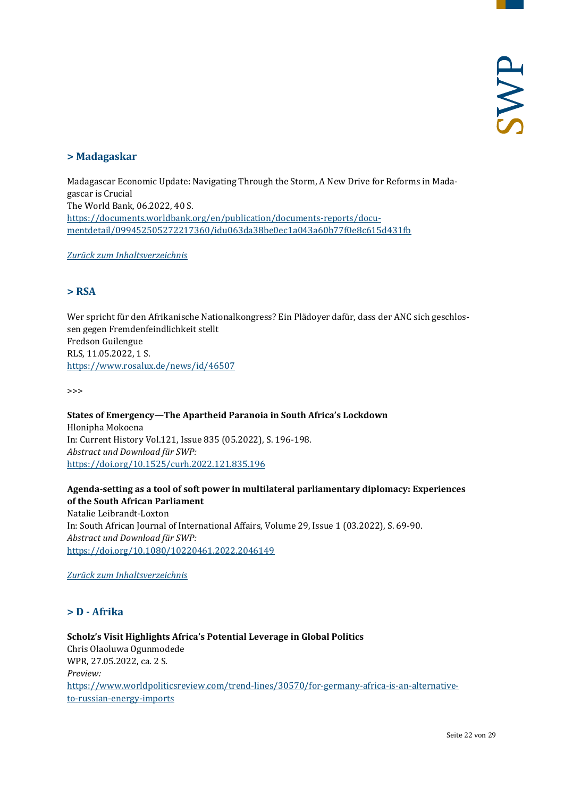#### <span id="page-21-0"></span>**> Madagaskar**

Madagascar Economic Update: Navigating Through the Storm, A New Drive for Reforms in Madagascar is Crucial The World Bank, 06.2022, 40 S. [https://documents.worldbank.org/en/publication/documents-reports/docu](https://documents.worldbank.org/en/publication/documents-reports/documentdetail/099452505272217360/idu063da38be0ec1a043a60b77f0e8c615d431fb)[mentdetail/099452505272217360/idu063da38be0ec1a043a60b77f0e8c615d431fb](https://documents.worldbank.org/en/publication/documents-reports/documentdetail/099452505272217360/idu063da38be0ec1a043a60b77f0e8c615d431fb)

<span id="page-21-1"></span>*[Zurück zum Inhaltsverzeichnis](#page-0-0)*

#### **> RSA**

Wer spricht für den Afrikanische Nationalkongress? Ein Plädoyer dafür, dass der ANC sich geschlossen gegen Fremdenfeindlichkeit stellt Fredson Guilengue RLS, 11.05.2022, 1 S. <https://www.rosalux.de/news/id/46507>

>>>

**States of Emergency—The Apartheid Paranoia in South Africa's Lockdown** Hlonipha Mokoena In: Current History Vol.121, Issue 835 (05.2022), S. 196-198. *Abstract und Download für SWP:* <https://doi.org/10.1525/curh.2022.121.835.196>

#### **Agenda-setting as a tool of soft power in multilateral parliamentary diplomacy: Experiences of the South African Parliament**

Natalie Leibrandt-Loxton In: South African Journal of International Affairs, Volume 29, Issue 1 (03.2022), S. 69-90. *Abstract und Download für SWP:* <https://doi.org/10.1080/10220461.2022.2046149>

<span id="page-21-2"></span>*[Zurück zum Inhaltsverzeichnis](#page-0-0)*

#### **> D - Afrika**

## **Scholz's Visit Highlights Africa's Potential Leverage in Global Politics**

Chris Olaoluwa Ogunmodede WPR, 27.05.2022, ca. 2 S. *Preview:* [https://www.worldpoliticsreview.com/trend-lines/30570/for-germany-africa-is-an-alternative](https://www.worldpoliticsreview.com/trend-lines/30570/for-germany-africa-is-an-alternative-to-russian-energy-imports)[to-russian-energy-imports](https://www.worldpoliticsreview.com/trend-lines/30570/for-germany-africa-is-an-alternative-to-russian-energy-imports)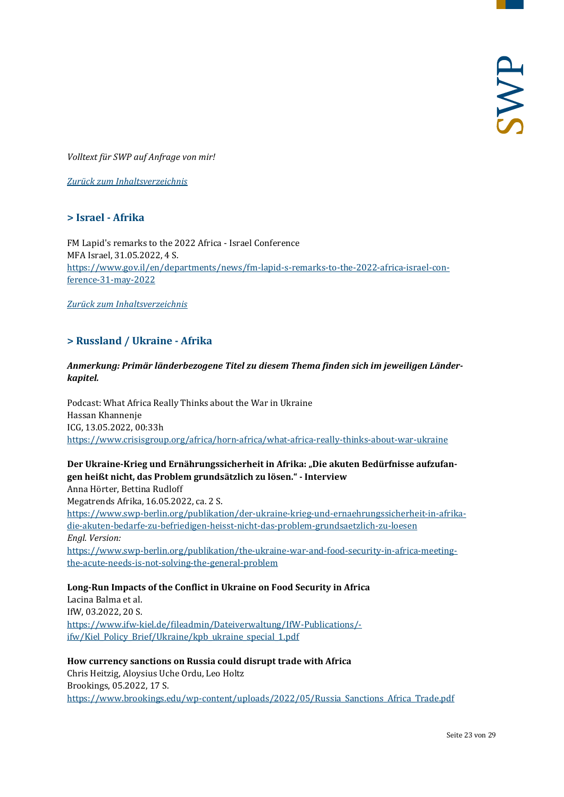*Volltext für SWP auf Anfrage von mir!*

<span id="page-22-0"></span>*[Zurück zum Inhaltsverzeichnis](#page-0-0)*

#### **> Israel - Afrika**

FM Lapid's remarks to the 2022 Africa - Israel Conference MFA Israel, 31.05.2022, 4 S. [https://www.gov.il/en/departments/news/fm-lapid-s-remarks-to-the-2022-africa-israel-con](https://www.gov.il/en/departments/news/fm-lapid-s-remarks-to-the-2022-africa-israel-conference-31-may-2022)[ference-31-may-2022](https://www.gov.il/en/departments/news/fm-lapid-s-remarks-to-the-2022-africa-israel-conference-31-may-2022)

<span id="page-22-1"></span>*[Zurück zum Inhaltsverzeichnis](#page-0-0)*

#### **> Russland / Ukraine - Afrika**

#### *Anmerkung: Primär länderbezogene Titel zu diesem Thema finden sich im jeweiligen Länderkapitel.*

Podcast: What Africa Really Thinks about the War in Ukraine Hassan Khannenje ICG, 13.05.2022, 00:33h <https://www.crisisgroup.org/africa/horn-africa/what-africa-really-thinks-about-war-ukraine>

#### Der Ukraine-Krieg und Ernährungssicherheit in Afrika: "Die akuten Bedürfnisse aufzufan**gen heißt nicht, das Problem grundsätzlich zu lösen." - Interview**

Anna Hörter, Bettina Rudloff Megatrends Afrika, 16.05.2022, ca. 2 S. [https://www.swp-berlin.org/publikation/der-ukraine-krieg-und-ernaehrungssicherheit-in-afrika](https://www.swp-berlin.org/publikation/der-ukraine-krieg-und-ernaehrungssicherheit-in-afrika-die-akuten-bedarfe-zu-befriedigen-heisst-nicht-das-problem-grundsaetzlich-zu-loesen)[die-akuten-bedarfe-zu-befriedigen-heisst-nicht-das-problem-grundsaetzlich-zu-loesen](https://www.swp-berlin.org/publikation/der-ukraine-krieg-und-ernaehrungssicherheit-in-afrika-die-akuten-bedarfe-zu-befriedigen-heisst-nicht-das-problem-grundsaetzlich-zu-loesen) *Engl. Version:* [https://www.swp-berlin.org/publikation/the-ukraine-war-and-food-security-in-africa-meeting](https://www.swp-berlin.org/publikation/the-ukraine-war-and-food-security-in-africa-meeting-the-acute-needs-is-not-solving-the-general-problem)[the-acute-needs-is-not-solving-the-general-problem](https://www.swp-berlin.org/publikation/the-ukraine-war-and-food-security-in-africa-meeting-the-acute-needs-is-not-solving-the-general-problem)

#### **Long-Run Impacts of the Conflict in Ukraine on Food Security in Africa** Lacina Balma et al. IfW, 03.2022, 20 S. [https://www.ifw-kiel.de/fileadmin/Dateiverwaltung/IfW-Publications/](https://www.ifw-kiel.de/fileadmin/Dateiverwaltung/IfW-Publications/-ifw/Kiel_Policy_Brief/Ukraine/kpb_ukraine_special_1.pdf) [ifw/Kiel\\_Policy\\_Brief/Ukraine/kpb\\_ukraine\\_special\\_1.pdf](https://www.ifw-kiel.de/fileadmin/Dateiverwaltung/IfW-Publications/-ifw/Kiel_Policy_Brief/Ukraine/kpb_ukraine_special_1.pdf)

#### **How currency sanctions on Russia could disrupt trade with Africa** Chris Heitzig, Aloysius Uche Ordu, Leo Holtz Brookings, 05.2022, 17 S. [https://www.brookings.edu/wp-content/uploads/2022/05/Russia\\_Sanctions\\_Africa\\_Trade.pdf](https://www.brookings.edu/wp-content/uploads/2022/05/Russia_Sanctions_Africa_Trade.pdf)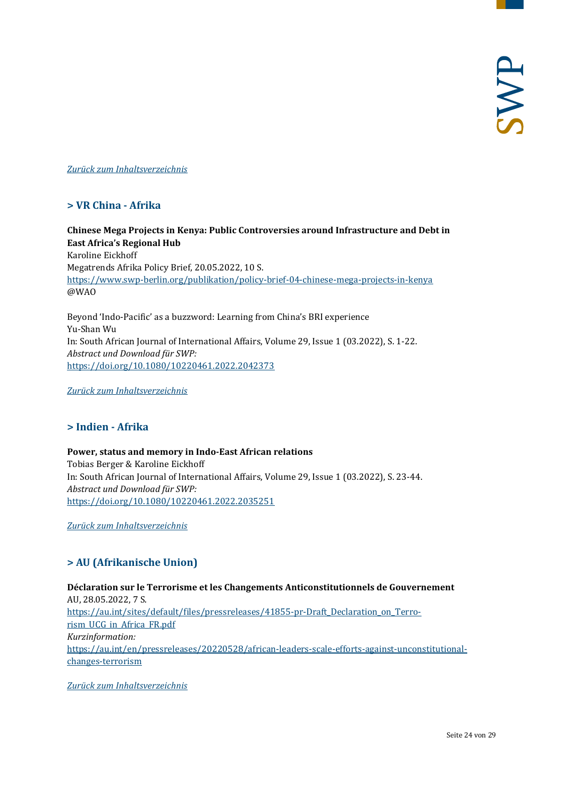<span id="page-23-0"></span>*[Zurück zum Inhaltsverzeichnis](#page-0-0)*

#### **> VR China - Afrika**

**Chinese Mega Projects in Kenya: Public Controversies around Infrastructure and Debt in East Africa's Regional Hub** Karoline Eickhoff Megatrends Afrika Policy Brief, 20.05.2022, 10 S. <https://www.swp-berlin.org/publikation/policy-brief-04-chinese-mega-projects-in-kenya> @WAO

Beyond 'Indo-Pacific' as a buzzword: Learning from China's BRI experience Yu-Shan Wu In: South African Journal of International Affairs, Volume 29, Issue 1 (03.2022), S. 1-22. *Abstract und Download für SWP:* <https://doi.org/10.1080/10220461.2022.2042373>

<span id="page-23-1"></span>*[Zurück zum Inhaltsverzeichnis](#page-0-0)*

#### **> Indien - Afrika**

#### **Power, status and memory in Indo-East African relations**

Tobias Berger & Karoline Eickhoff In: South African Journal of International Affairs, Volume 29, Issue 1 (03.2022), S. 23-44. *Abstract und Download für SWP:* <https://doi.org/10.1080/10220461.2022.2035251>

<span id="page-23-2"></span>*[Zurück zum Inhaltsverzeichnis](#page-0-0)*

#### **> AU (Afrikanische Union)**

**Déclaration sur le Terrorisme et les Changements Anticonstitutionnels de Gouvernement** AU, 28.05.2022, 7 S. [https://au.int/sites/default/files/pressreleases/41855-pr-Draft\\_Declaration\\_on\\_Terro](https://au.int/sites/default/files/pressreleases/41855-pr-Draft_Declaration_on_Terrorism_UCG_in_Africa_FR.pdf)[rism\\_UCG\\_in\\_Africa\\_FR.pdf](https://au.int/sites/default/files/pressreleases/41855-pr-Draft_Declaration_on_Terrorism_UCG_in_Africa_FR.pdf) *Kurzinformation:* [https://au.int/en/pressreleases/20220528/african-leaders-scale-efforts-against-unconstitutional](https://au.int/en/pressreleases/20220528/african-leaders-scale-efforts-against-unconstitutional-changes-terrorism)[changes-terrorism](https://au.int/en/pressreleases/20220528/african-leaders-scale-efforts-against-unconstitutional-changes-terrorism)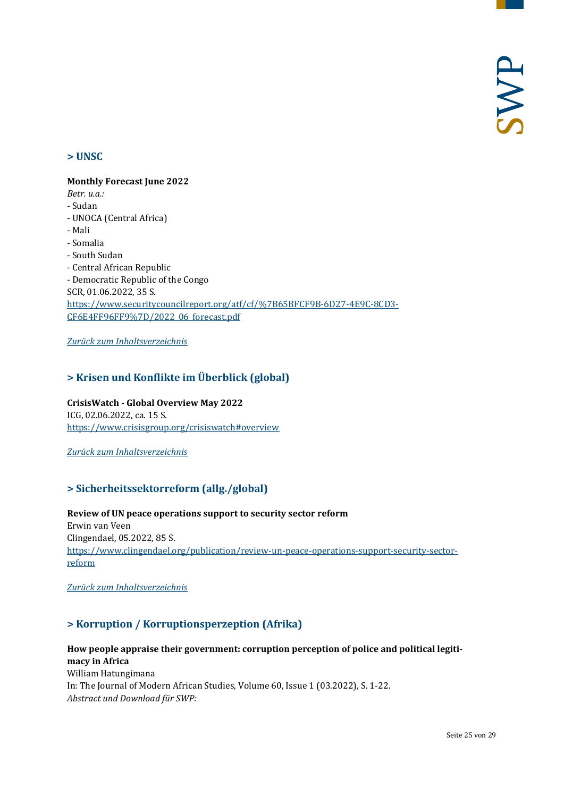#### <span id="page-24-0"></span>**> UNSC**

#### **Monthly Forecast June 2022**

*Betr. u.a.:*

- Sudan
- UNOCA (Central Africa)
- Mali
- Somalia
- South Sudan
- Central African Republic

- Democratic Republic of the Congo SCR, 01.06.2022, 35 S. [https://www.securitycouncilreport.org/atf/cf/%7B65BFCF9B-6D27-4E9C-8CD3-](https://www.securitycouncilreport.org/atf/cf/%7B65BFCF9B-6D27-4E9C-8CD3-CF6E4FF96FF9%7D/2022_06_forecast.pdf) [CF6E4FF96FF9%7D/2022\\_06\\_forecast.pdf](https://www.securitycouncilreport.org/atf/cf/%7B65BFCF9B-6D27-4E9C-8CD3-CF6E4FF96FF9%7D/2022_06_forecast.pdf)

<span id="page-24-1"></span>*[Zurück zum Inhaltsverzeichnis](#page-0-0)*

#### **> Krisen und Konflikte im Überblick (global)**

#### **CrisisWatch - Global Overview May 2022**

ICG, 02.06.2022, ca. 15 S. <https://www.crisisgroup.org/crisiswatch#overview>

<span id="page-24-2"></span>*[Zurück zum Inhaltsverzeichnis](#page-0-0)*

#### **> Sicherheitssektorreform (allg./global)**

#### **Review of UN peace operations support to security sector reform** Erwin van Veen Clingendael, 05.2022, 85 S. [https://www.clingendael.org/publication/review-un-peace-operations-support-security-sector-](https://www.clingendael.org/publication/review-un-peace-operations-support-security-sector-reform)

[reform](https://www.clingendael.org/publication/review-un-peace-operations-support-security-sector-reform)

<span id="page-24-3"></span>*[Zurück zum Inhaltsverzeichnis](#page-0-0)*

#### **> Korruption / Korruptionsperzeption (Afrika)**

**How people appraise their government: corruption perception of police and political legitimacy in Africa**  William Hatungimana In: The Journal of Modern African Studies, Volume 60, Issue 1 (03.2022), S. 1-22. *Abstract und Download für SWP:*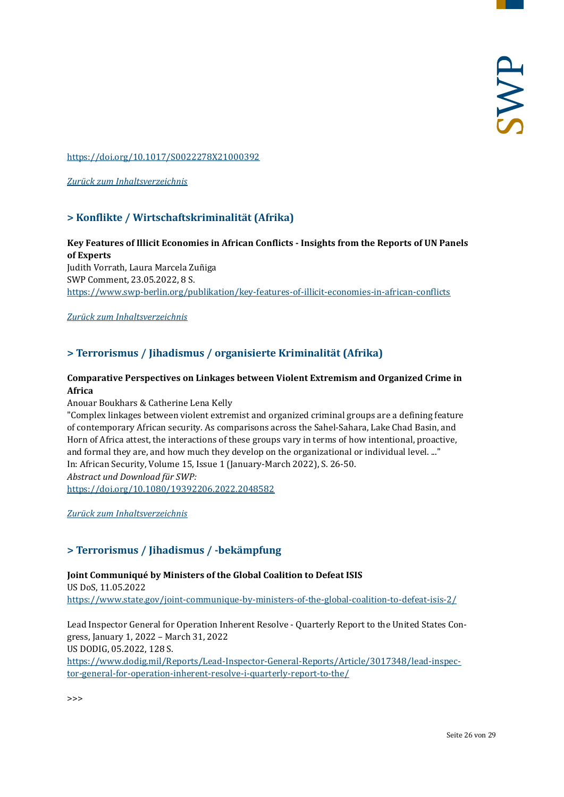#### <https://doi.org/10.1017/S0022278X21000392>

<span id="page-25-0"></span>*[Zurück zum Inhaltsverzeichnis](#page-0-0)*

#### **> Konflikte / Wirtschaftskriminalität (Afrika)**

# **Key Features of Illicit Economies in African Conflicts - Insights from the Reports of UN Panels of Experts**

Judith Vorrath, Laura Marcela Zuñiga SWP Comment, 23.05.2022, 8 S. <https://www.swp-berlin.org/publikation/key-features-of-illicit-economies-in-african-conflicts>

#### <span id="page-25-1"></span>*[Zurück zum Inhaltsverzeichnis](#page-0-0)*

#### **> Terrorismus / Jihadismus / organisierte Kriminalität (Afrika)**

#### **Comparative Perspectives on Linkages between Violent Extremism and Organized Crime in Africa**

Anouar Boukhars & Catherine Lena Kelly

"Complex linkages between violent extremist and organized criminal groups are a defining feature of contemporary African security. As comparisons across the Sahel-Sahara, Lake Chad Basin, and Horn of Africa attest, the interactions of these groups vary in terms of how intentional, proactive, and formal they are, and how much they develop on the organizational or individual level. ..." In: African Security, Volume 15, Issue 1 (January-March 2022), S. 26-50. *Abstract und Download für SWP:*

<https://doi.org/10.1080/19392206.2022.2048582>

<span id="page-25-2"></span>*[Zurück zum Inhaltsverzeichnis](#page-0-0)*

#### **> Terrorismus / Jihadismus / -bekämpfung**

#### **Joint Communiqué by Ministers of the Global Coalition to Defeat ISIS**

US DoS, 11.05.2022 <https://www.state.gov/joint-communique-by-ministers-of-the-global-coalition-to-defeat-isis-2/>

Lead Inspector General for Operation Inherent Resolve - Quarterly Report to the United States Congress, January 1, 2022 – March 31, 2022 US DODIG, 05.2022, 128 S. [https://www.dodig.mil/Reports/Lead-Inspector-General-Reports/Article/3017348/lead-inspec](https://www.dodig.mil/Reports/Lead-Inspector-General-Reports/Article/3017348/lead-inspector-general-for-operation-inherent-resolve-i-quarterly-report-to-the/)[tor-general-for-operation-inherent-resolve-i-quarterly-report-to-the/](https://www.dodig.mil/Reports/Lead-Inspector-General-Reports/Article/3017348/lead-inspector-general-for-operation-inherent-resolve-i-quarterly-report-to-the/)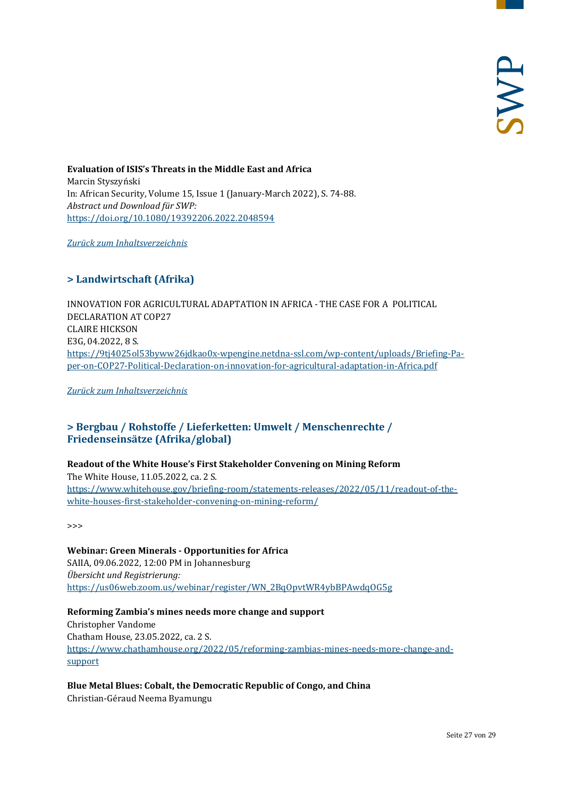**Evaluation of ISIS's Threats in the Middle East and Africa** Marcin Styszyński In: African Security, Volume 15, Issue 1 (January-March 2022), S. 74-88. *Abstract und Download für SWP:* <https://doi.org/10.1080/19392206.2022.2048594>

<span id="page-26-0"></span>*[Zurück zum Inhaltsverzeichnis](#page-0-0)*

#### **> Landwirtschaft (Afrika)**

INNOVATION FOR AGRICULTURAL ADAPTATION IN AFRICA - THE CASE FOR A POLITICAL DECLARATION AT COP27 CLAIRE HICKSON E3G, 04.2022, 8 S. [https://9tj4025ol53byww26jdkao0x-wpengine.netdna-ssl.com/wp-content/uploads/Briefing-Pa](https://9tj4025ol53byww26jdkao0x-wpengine.netdna-ssl.com/wp-content/uploads/Briefing-Paper-on-COP27-Political-Declaration-on-innovation-for-agricultural-adaptation-in-Africa.pdf)[per-on-COP27-Political-Declaration-on-innovation-for-agricultural-adaptation-in-Africa.pdf](https://9tj4025ol53byww26jdkao0x-wpengine.netdna-ssl.com/wp-content/uploads/Briefing-Paper-on-COP27-Political-Declaration-on-innovation-for-agricultural-adaptation-in-Africa.pdf)

<span id="page-26-1"></span>*[Zurück zum Inhaltsverzeichnis](#page-0-0)*

#### **> Bergbau / Rohstoffe / Lieferketten: Umwelt / Menschenrechte / Friedenseinsätze (Afrika/global)**

#### **Readout of the White House's First Stakeholder Convening on Mining Reform**  The White House, 11.05.2022, ca. 2 S. [https://www.whitehouse.gov/briefing-room/statements-releases/2022/05/11/readout-of-the](https://www.whitehouse.gov/briefing-room/statements-releases/2022/05/11/readout-of-the-white-houses-first-stakeholder-convening-on-mining-reform/)[white-houses-first-stakeholder-convening-on-mining-reform/](https://www.whitehouse.gov/briefing-room/statements-releases/2022/05/11/readout-of-the-white-houses-first-stakeholder-convening-on-mining-reform/)

>>>

#### **Webinar: Green Minerals - Opportunities for Africa**  SAIIA, 09.06.2022, 12:00 PM in Johannesburg *Übersicht und Registrierung:* [https://us06web.zoom.us/webinar/register/WN\\_2BqOpvtWR4ybBPAwdqOG5g](https://us06web.zoom.us/webinar/register/WN_2BqOpvtWR4ybBPAwdqOG5g)

**Reforming Zambia's mines needs more change and support** Christopher Vandome Chatham House, 23.05.2022, ca. 2 S. [https://www.chathamhouse.org/2022/05/reforming-zambias-mines-needs-more-change-and](https://www.chathamhouse.org/2022/05/reforming-zambias-mines-needs-more-change-and-support)[support](https://www.chathamhouse.org/2022/05/reforming-zambias-mines-needs-more-change-and-support)

# **Blue Metal Blues: Cobalt, the Democratic Republic of Congo, and China**

Christian-Géraud Neema Byamungu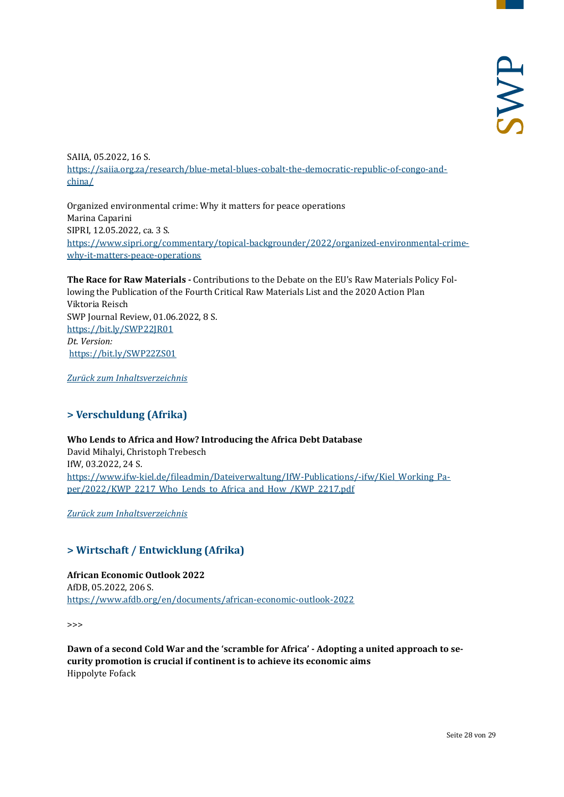SAIIA, 05.2022, 16 S. [https://saiia.org.za/research/blue-metal-blues-cobalt-the-democratic-republic-of-congo-and](https://saiia.org.za/research/blue-metal-blues-cobalt-the-democratic-republic-of-congo-and-china/)[china/](https://saiia.org.za/research/blue-metal-blues-cobalt-the-democratic-republic-of-congo-and-china/)

Organized environmental crime: Why it matters for peace operations Marina Caparini SIPRI, 12.05.2022, ca. 3 S. [https://www.sipri.org/commentary/topical-backgrounder/2022/organized-environmental-crime](https://www.sipri.org/commentary/topical-backgrounder/2022/organized-environmental-crime-why-it-matters-peace-operations)[why-it-matters-peace-operations](https://www.sipri.org/commentary/topical-backgrounder/2022/organized-environmental-crime-why-it-matters-peace-operations)

**The Race for Raw Materials -** Contributions to the Debate on the EU's Raw Materials Policy Following the Publication of the Fourth Critical Raw Materials List and the 2020 Action Plan Viktoria Reisch SWP Journal Review, 01.06.2022, 8 S. <https://bit.ly/SWP22JR01> *Dt. Version:* <https://bit.ly/SWP22ZS01>

<span id="page-27-0"></span>*[Zurück zum Inhaltsverzeichnis](#page-0-0)*

#### **> Verschuldung (Afrika)**

**Who Lends to Africa and How? Introducing the Africa Debt Database** David Mihalyi, Christoph Trebesch IfW, 03.2022, 24 S. [https://www.ifw-kiel.de/fileadmin/Dateiverwaltung/IfW-Publications/-ifw/Kiel\\_Working\\_Pa](https://www.ifw-kiel.de/fileadmin/Dateiverwaltung/IfW-Publications/-ifw/Kiel_Working_Paper/2022/KWP_2217_Who_Lends_to_Africa_and_How_/KWP_2217.pdf)[per/2022/KWP\\_2217\\_Who\\_Lends\\_to\\_Africa\\_and\\_How\\_/KWP\\_2217.pdf](https://www.ifw-kiel.de/fileadmin/Dateiverwaltung/IfW-Publications/-ifw/Kiel_Working_Paper/2022/KWP_2217_Who_Lends_to_Africa_and_How_/KWP_2217.pdf)

<span id="page-27-1"></span>*[Zurück zum Inhaltsverzeichnis](#page-0-0)*

#### **> Wirtschaft / Entwicklung (Afrika)**

**African Economic Outlook 2022** AfDB, 05.2022, 206 S. <https://www.afdb.org/en/documents/african-economic-outlook-2022>

>>>

**Dawn of a second Cold War and the 'scramble for Africa' - Adopting a united approach to security promotion is crucial if continent is to achieve its economic aims** Hippolyte Fofack